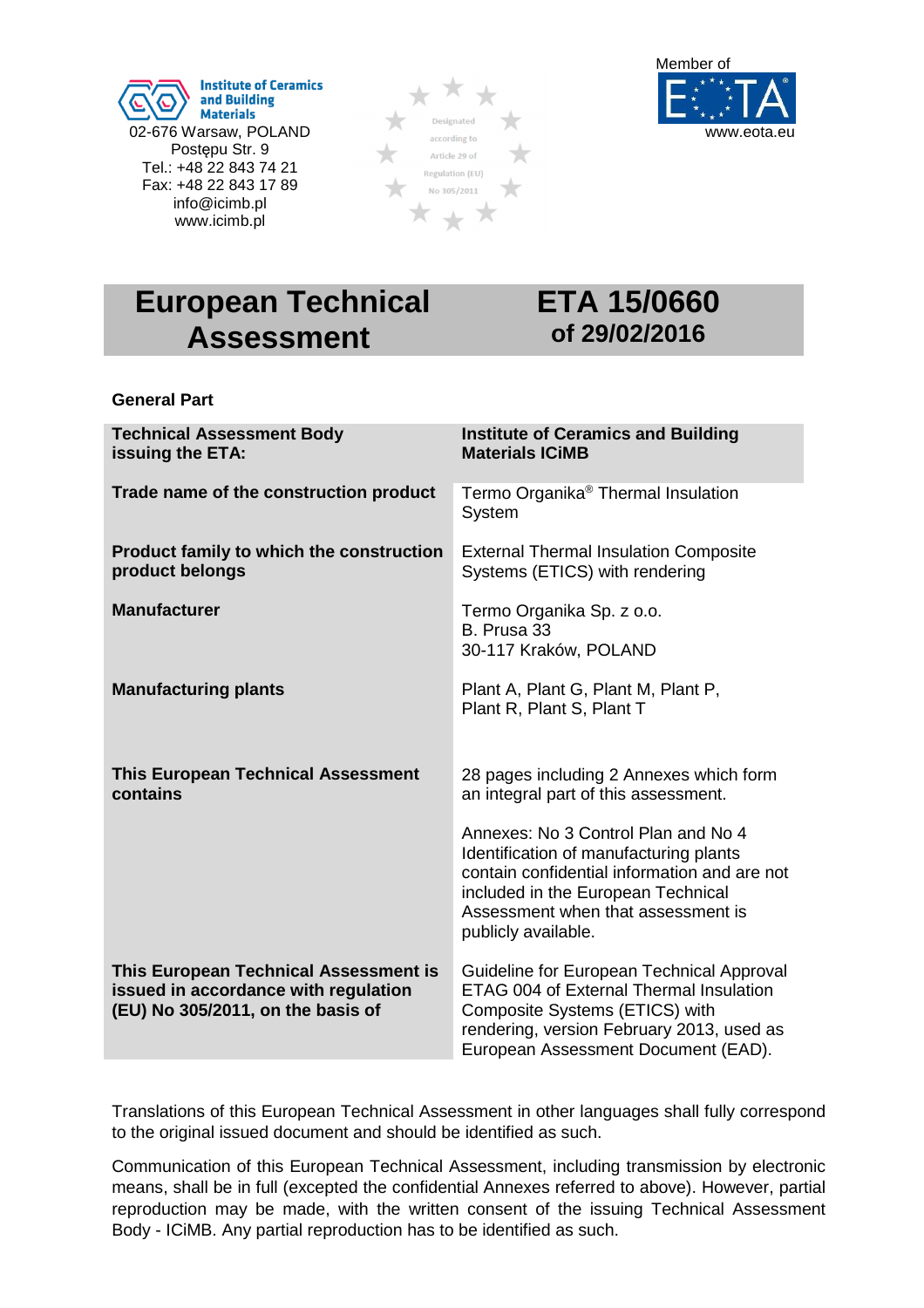





# **European Technical Assessment**

# **ETA 15/0660 of 29/02/2016**

### **General Part**

| <b>Technical Assessment Body</b><br>issuing the ETA:                                                               | <b>Institute of Ceramics and Building</b><br><b>Materials ICiMB</b>                                                                                                                                                              |
|--------------------------------------------------------------------------------------------------------------------|----------------------------------------------------------------------------------------------------------------------------------------------------------------------------------------------------------------------------------|
| Trade name of the construction product                                                                             | Termo Organika <sup>®</sup> Thermal Insulation<br>System                                                                                                                                                                         |
| Product family to which the construction<br>product belongs                                                        | <b>External Thermal Insulation Composite</b><br>Systems (ETICS) with rendering                                                                                                                                                   |
| <b>Manufacturer</b>                                                                                                | Termo Organika Sp. z o.o.<br>B. Prusa 33<br>30-117 Kraków, POLAND                                                                                                                                                                |
| <b>Manufacturing plants</b>                                                                                        | Plant A, Plant G, Plant M, Plant P,<br>Plant R, Plant S, Plant T                                                                                                                                                                 |
| <b>This European Technical Assessment</b><br>contains                                                              | 28 pages including 2 Annexes which form<br>an integral part of this assessment.                                                                                                                                                  |
|                                                                                                                    | Annexes: No 3 Control Plan and No 4<br>Identification of manufacturing plants<br>contain confidential information and are not<br>included in the European Technical<br>Assessment when that assessment is<br>publicly available. |
| This European Technical Assessment is<br>issued in accordance with regulation<br>(EU) No 305/2011, on the basis of | Guideline for European Technical Approval<br><b>ETAG 004 of External Thermal Insulation</b><br>Composite Systems (ETICS) with<br>rendering, version February 2013, used as<br>European Assessment Document (EAD).                |

Translations of this European Technical Assessment in other languages shall fully correspond to the original issued document and should be identified as such.

Communication of this European Technical Assessment, including transmission by electronic means, shall be in full (excepted the confidential Annexes referred to above). However, partial reproduction may be made, with the written consent of the issuing Technical Assessment Body - ICiMB. Any partial reproduction has to be identified as such.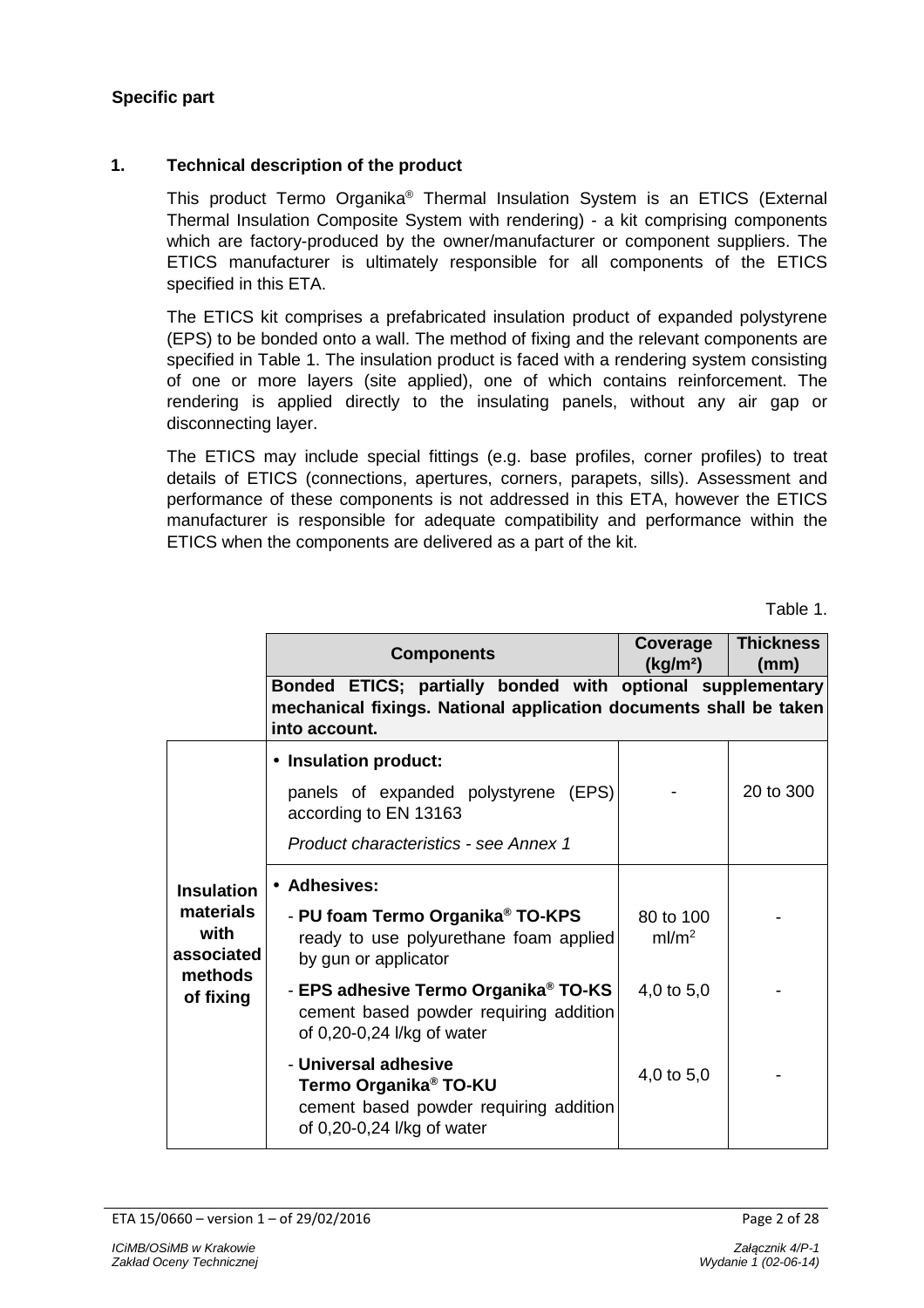# **Specific part**

#### **1. Technical description of the product**

This product Termo Organika<sup>®</sup> Thermal Insulation System is an ETICS (External Thermal Insulation Composite System with rendering) - a kit comprising components which are factory-produced by the owner/manufacturer or component suppliers. The ETICS manufacturer is ultimately responsible for all components of the ETICS specified in this ETA.

The ETICS kit comprises a prefabricated insulation product of expanded polystyrene (EPS) to be bonded onto a wall. The method of fixing and the relevant components are specified in Table 1. The insulation product is faced with a rendering system consisting of one or more layers (site applied), one of which contains reinforcement. The rendering is applied directly to the insulating panels, without any air gap or disconnecting layer.

The ETICS may include special fittings (e.g. base profiles, corner profiles) to treat details of ETICS (connections, apertures, corners, parapets, sills). Assessment and performance of these components is not addressed in this ETA, however the ETICS manufacturer is responsible for adequate compatibility and performance within the ETICS when the components are delivered as a part of the kit.

Table 1.

|                                                      | <b>Components</b>                                                                                                                                | Coverage<br>(kg/m <sup>2</sup> ) | <b>Thickness</b><br>(mm) |
|------------------------------------------------------|--------------------------------------------------------------------------------------------------------------------------------------------------|----------------------------------|--------------------------|
|                                                      | Bonded ETICS; partially bonded with optional supplementary<br>mechanical fixings. National application documents shall be taken<br>into account. |                                  |                          |
|                                                      | • Insulation product:<br>panels of expanded polystyrene (EPS)<br>according to EN 13163<br><b>Product characteristics - see Annex 1</b>           |                                  | 20 to 300                |
| <b>Insulation</b><br>materials<br>with<br>associated | • Adhesives:<br>- PU foam Termo Organika <sup>®</sup> TO-KPS<br>ready to use polyurethane foam applied<br>by gun or applicator                   | 80 to 100<br>ml/m <sup>2</sup>   |                          |
| methods<br>of fixing                                 | - EPS adhesive Termo Organika® TO-KS<br>cement based powder requiring addition<br>of 0,20-0,24 l/kg of water                                     | 4,0 to 5,0                       |                          |
|                                                      | - Universal adhesive<br>Termo Organika <sup>®</sup> TO-KU<br>cement based powder requiring addition<br>of 0,20-0,24 l/kg of water                | 4,0 to 5,0                       |                          |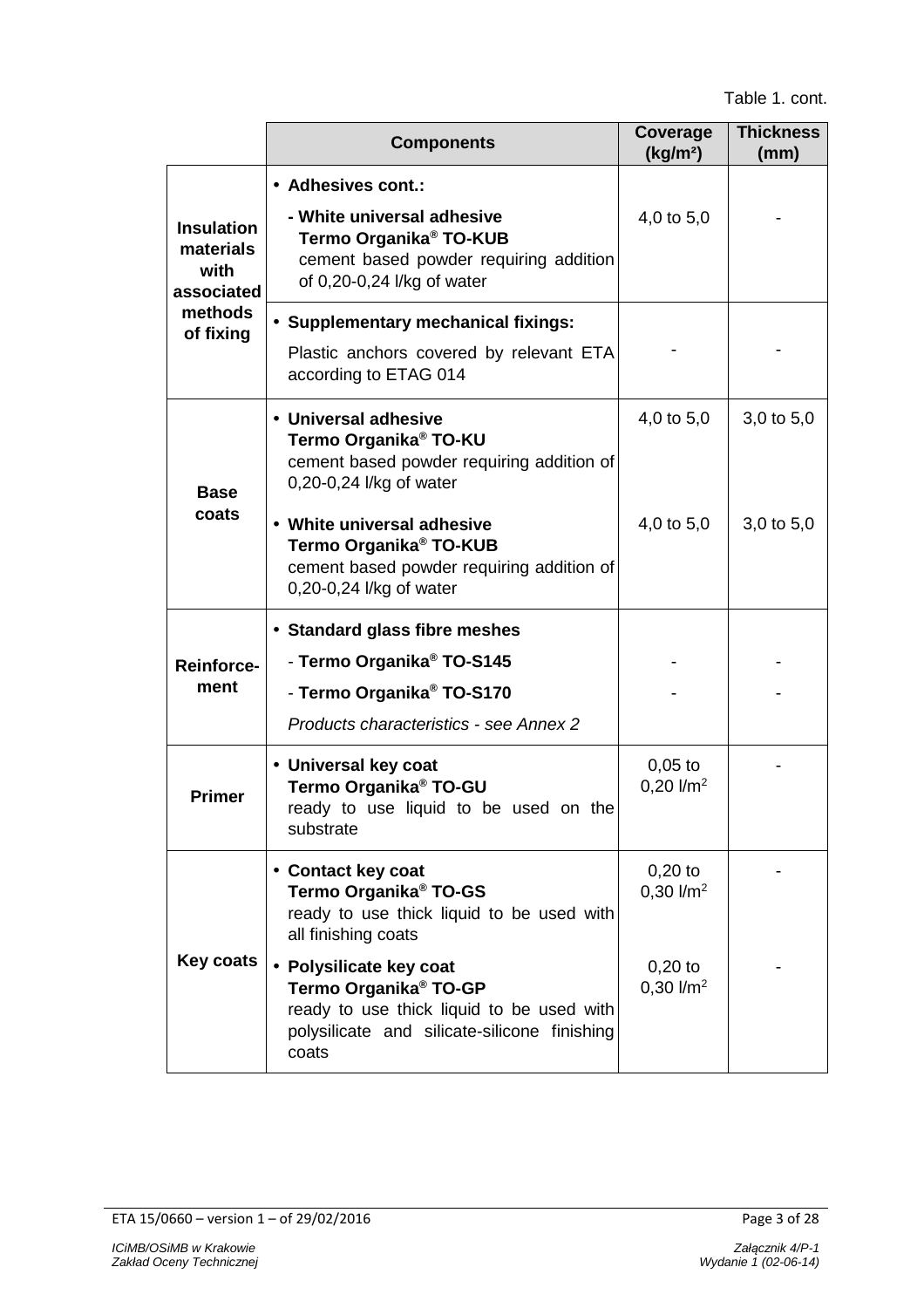|                                                      | <b>Components</b>                                                                                                                                                                                                                                  | Coverage<br>(kg/m <sup>2</sup> ) | <b>Thickness</b><br>(mm)         |
|------------------------------------------------------|----------------------------------------------------------------------------------------------------------------------------------------------------------------------------------------------------------------------------------------------------|----------------------------------|----------------------------------|
| <b>Insulation</b><br>materials<br>with<br>associated | • Adhesives cont.:<br>- White universal adhesive<br>Termo Organika <sup>®</sup> TO-KUB<br>cement based powder requiring addition<br>of 0,20-0,24 l/kg of water                                                                                     | 4,0 to 5,0                       |                                  |
| methods<br>of fixing                                 | • Supplementary mechanical fixings:<br>Plastic anchors covered by relevant ETA<br>according to ETAG 014                                                                                                                                            |                                  |                                  |
| <b>Base</b><br>coats                                 | • Universal adhesive<br>Termo Organika <sup>®</sup> TO-KU<br>cement based powder requiring addition of<br>0,20-0,24 l/kg of water<br>• White universal adhesive<br>Termo Organika <sup>®</sup> TO-KUB<br>cement based powder requiring addition of | 4,0 to 5,0<br>4,0 to 5,0         | $3,0$ to $5,0$<br>$3,0$ to $5,0$ |
|                                                      | 0,20-0,24 l/kg of water<br>• Standard glass fibre meshes<br>- Termo Organika <sup>®</sup> TO-S145                                                                                                                                                  |                                  |                                  |
| <b>Reinforce-</b><br>ment                            | - Termo Organika <sup>®</sup> TO-S170<br>Products characteristics - see Annex 2                                                                                                                                                                    |                                  |                                  |
| <b>Primer</b>                                        | • Universal key coat<br>Termo Organika <sup>®</sup> TO-GU<br>ready to use liquid to be used on the<br>substrate                                                                                                                                    | $0,05$ to<br>$0,20$ $1/m2$       |                                  |
|                                                      | • Contact key coat<br>Termo Organika <sup>®</sup> TO-GS<br>ready to use thick liquid to be used with<br>all finishing coats                                                                                                                        | $0,20$ to<br>$0,30$ $1/m2$       |                                  |
| Key coats                                            | • Polysilicate key coat<br>Termo Organika <sup>®</sup> TO-GP<br>ready to use thick liquid to be used with<br>polysilicate and silicate-silicone finishing<br>coats                                                                                 | $0,20$ to<br>$0,30$ $1/m2$       |                                  |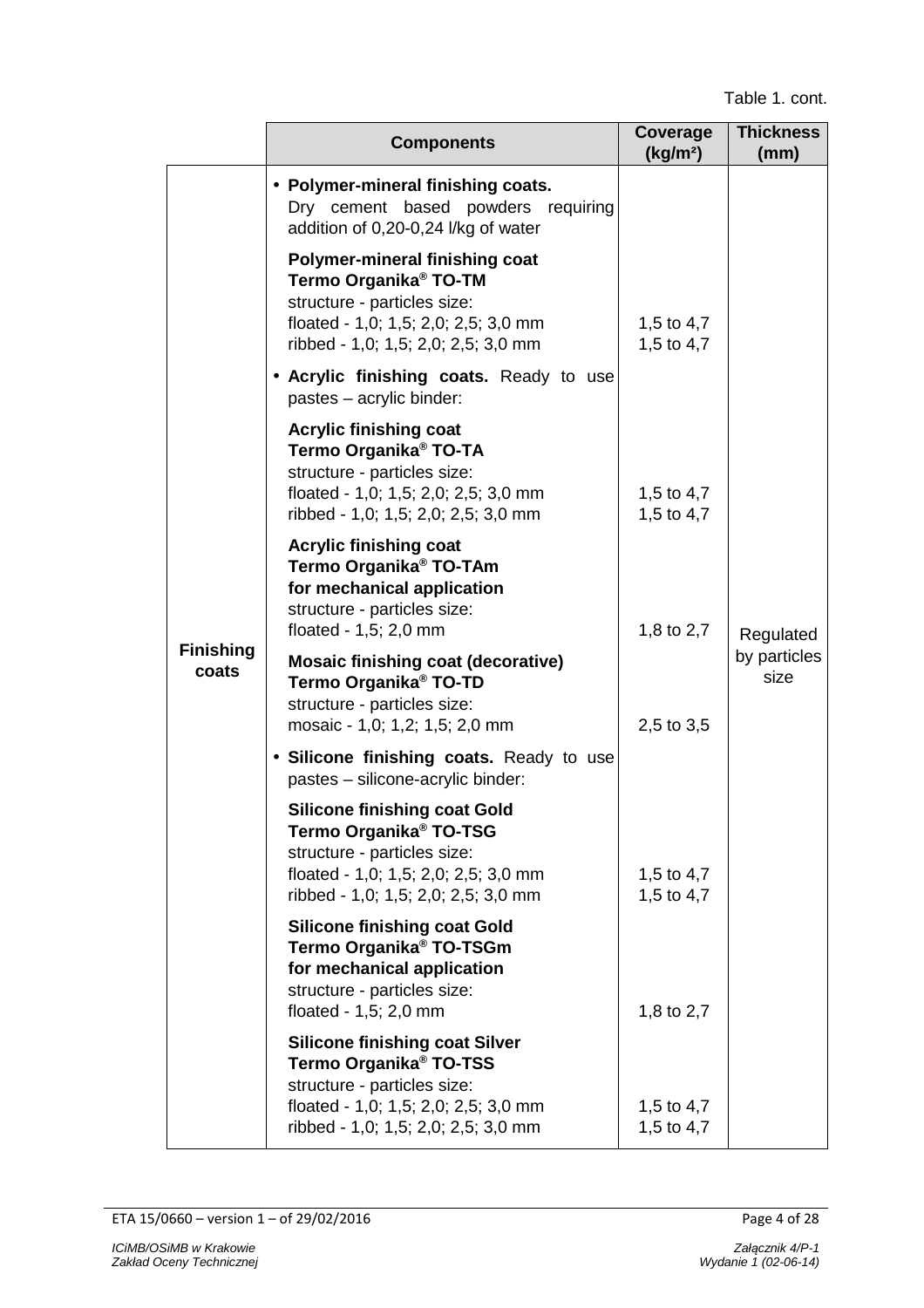|                           | <b>Components</b>                                                                                                                                                                         | Coverage<br>(kg/m <sup>2</sup> ) | <b>Thickness</b><br>(mm) |
|---------------------------|-------------------------------------------------------------------------------------------------------------------------------------------------------------------------------------------|----------------------------------|--------------------------|
|                           | • Polymer-mineral finishing coats.<br>Dry cement based powders requiring<br>addition of 0,20-0,24 l/kg of water                                                                           |                                  |                          |
|                           | Polymer-mineral finishing coat<br>Termo Organika <sup>®</sup> TO-TM<br>structure - particles size:<br>floated - 1,0; 1,5; 2,0; 2,5; 3,0 mm<br>ribbed - 1,0; 1,5; 2,0; 2,5; 3,0 mm         | 1,5 to 4,7<br>1,5 to 4,7         |                          |
|                           | • Acrylic finishing coats. Ready to use<br>pastes - acrylic binder:                                                                                                                       |                                  |                          |
|                           | <b>Acrylic finishing coat</b><br>Termo Organika <sup>®</sup> TO-TA<br>structure - particles size:<br>floated - 1,0; 1,5; 2,0; 2,5; 3,0 mm<br>ribbed - 1,0; 1,5; 2,0; 2,5; 3,0 mm          | 1,5 to 4,7<br>1,5 to 4,7         |                          |
|                           | <b>Acrylic finishing coat</b><br>Termo Organika <sup>®</sup> TO-TAm<br>for mechanical application<br>structure - particles size:<br>floated - $1,5$ ; 2,0 mm                              | 1,8 to 2,7                       | Regulated                |
| <b>Finishing</b><br>coats | <b>Mosaic finishing coat (decorative)</b><br>Termo Organika <sup>®</sup> TO-TD<br>structure - particles size:<br>mosaic - 1,0; 1,2; 1,5; 2,0 mm                                           | 2,5 to 3,5                       | by particles<br>size     |
|                           | · Silicone finishing coats. Ready to use<br>pastes - silicone-acrylic binder:                                                                                                             |                                  |                          |
|                           | <b>Silicone finishing coat Gold</b><br>Termo Organika <sup>®</sup> TO-TSG<br>structure - particles size:<br>floated - 1,0; 1,5; 2,0; 2,5; 3,0 mm<br>ribbed - 1,0; 1,5; 2,0; 2,5; 3,0 mm   | 1,5 to 4,7<br>1,5 to 4,7         |                          |
|                           | <b>Silicone finishing coat Gold</b><br>Termo Organika <sup>®</sup> TO-TSGm<br>for mechanical application<br>structure - particles size:<br>floated - 1,5; 2,0 mm                          | 1,8 to 2,7                       |                          |
|                           | <b>Silicone finishing coat Silver</b><br>Termo Organika <sup>®</sup> TO-TSS<br>structure - particles size:<br>floated - 1,0; 1,5; 2,0; 2,5; 3,0 mm<br>ribbed - 1,0; 1,5; 2,0; 2,5; 3,0 mm | 1,5 to 4,7<br>1,5 to 4,7         |                          |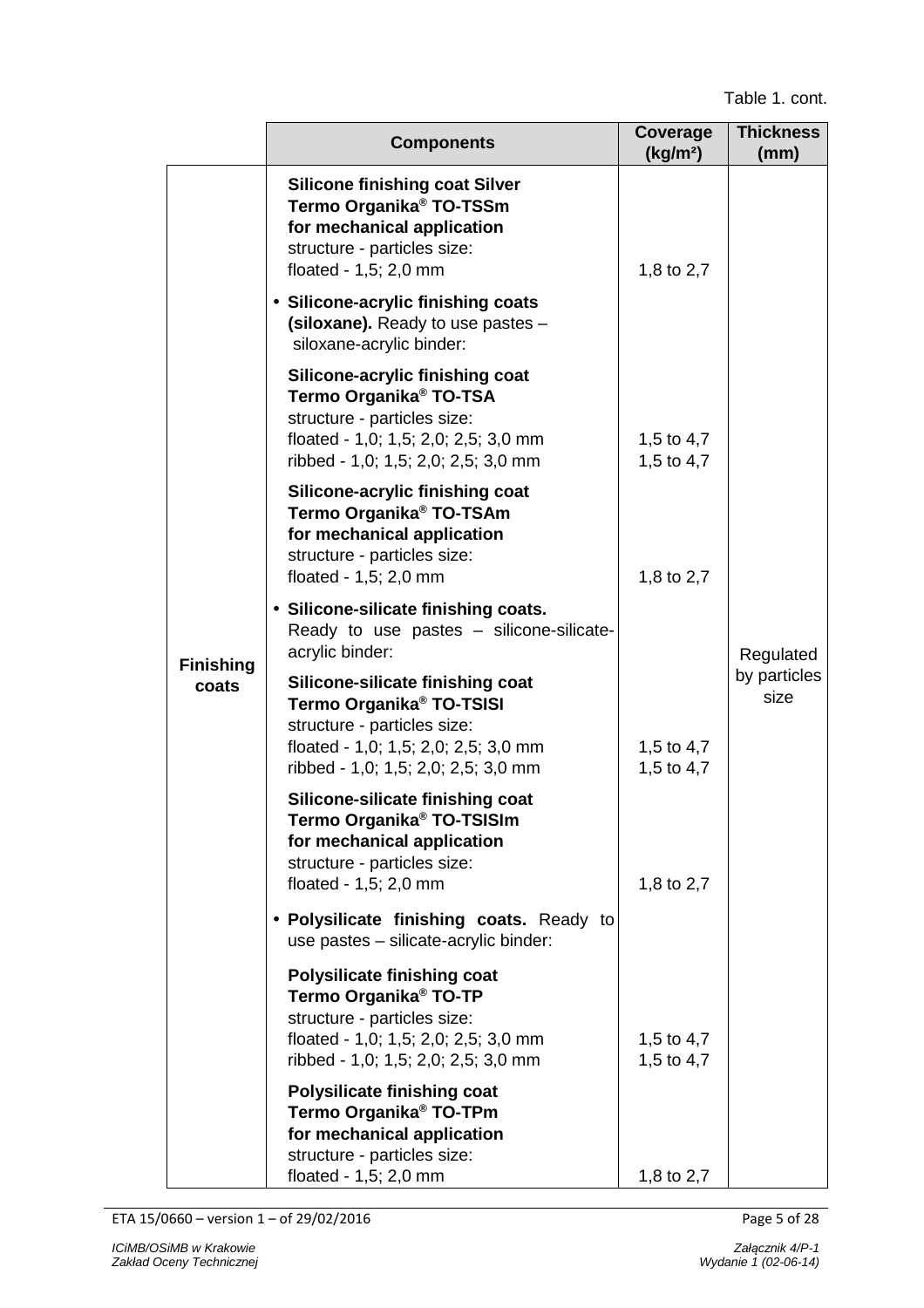|                  | <b>Components</b>                                                                                                                                                                      | Coverage<br>(kg/m <sup>2</sup> ) | <b>Thickness</b><br>(mm) |
|------------------|----------------------------------------------------------------------------------------------------------------------------------------------------------------------------------------|----------------------------------|--------------------------|
|                  | <b>Silicone finishing coat Silver</b><br>Termo Organika <sup>®</sup> TO-TSSm<br>for mechanical application<br>structure - particles size:<br>floated - 1,5; 2,0 mm                     | 1,8 to 2,7                       |                          |
|                  | • Silicone-acrylic finishing coats<br>(siloxane). Ready to use pastes -<br>siloxane-acrylic binder:                                                                                    |                                  |                          |
|                  | Silicone-acrylic finishing coat<br>Termo Organika <sup>®</sup> TO-TSA<br>structure - particles size:<br>floated - 1,0; 1,5; 2,0; 2,5; 3,0 mm<br>ribbed - 1,0; 1,5; 2,0; 2,5; 3,0 mm    | 1,5 to 4,7<br>1,5 to 4,7         |                          |
|                  | Silicone-acrylic finishing coat<br>Termo Organika <sup>®</sup> TO-TSAm<br>for mechanical application<br>structure - particles size:<br>floated - 1,5; 2,0 mm                           | 1,8 to 2,7                       |                          |
| <b>Finishing</b> | • Silicone-silicate finishing coats.<br>Ready to use pastes - silicone-silicate-<br>acrylic binder:                                                                                    |                                  | Regulated                |
| coats            | Silicone-silicate finishing coat<br>Termo Organika <sup>®</sup> TO-TSISI<br>structure - particles size:<br>floated - 1,0; 1,5; 2,0; 2,5; 3,0 mm<br>ribbed - 1,0; 1,5; 2,0; 2,5; 3,0 mm | 1,5 to 4,7<br>1,5 to 4,7         | by particles<br>size     |
|                  | Silicone-silicate finishing coat<br>Termo Organika® TO-TSISIm<br>for mechanical application<br>structure - particles size:<br>floated - 1,5; 2,0 mm                                    | 1,8 to 2,7                       |                          |
|                  | • Polysilicate finishing coats. Ready to<br>use pastes - silicate-acrylic binder:                                                                                                      |                                  |                          |
|                  | <b>Polysilicate finishing coat</b><br>Termo Organika <sup>®</sup> TO-TP<br>structure - particles size:<br>floated - 1,0; 1,5; 2,0; 2,5; 3,0 mm<br>ribbed - 1,0; 1,5; 2,0; 2,5; 3,0 mm  | 1,5 to 4,7<br>1,5 to 4,7         |                          |
|                  | <b>Polysilicate finishing coat</b><br>Termo Organika <sup>®</sup> TO-TPm<br>for mechanical application<br>structure - particles size:<br>floated - 1,5; 2,0 mm                         | 1,8 to 2,7                       |                          |

ETA 15/0660 – version 1 – of 29/02/2016 Page 5 of 28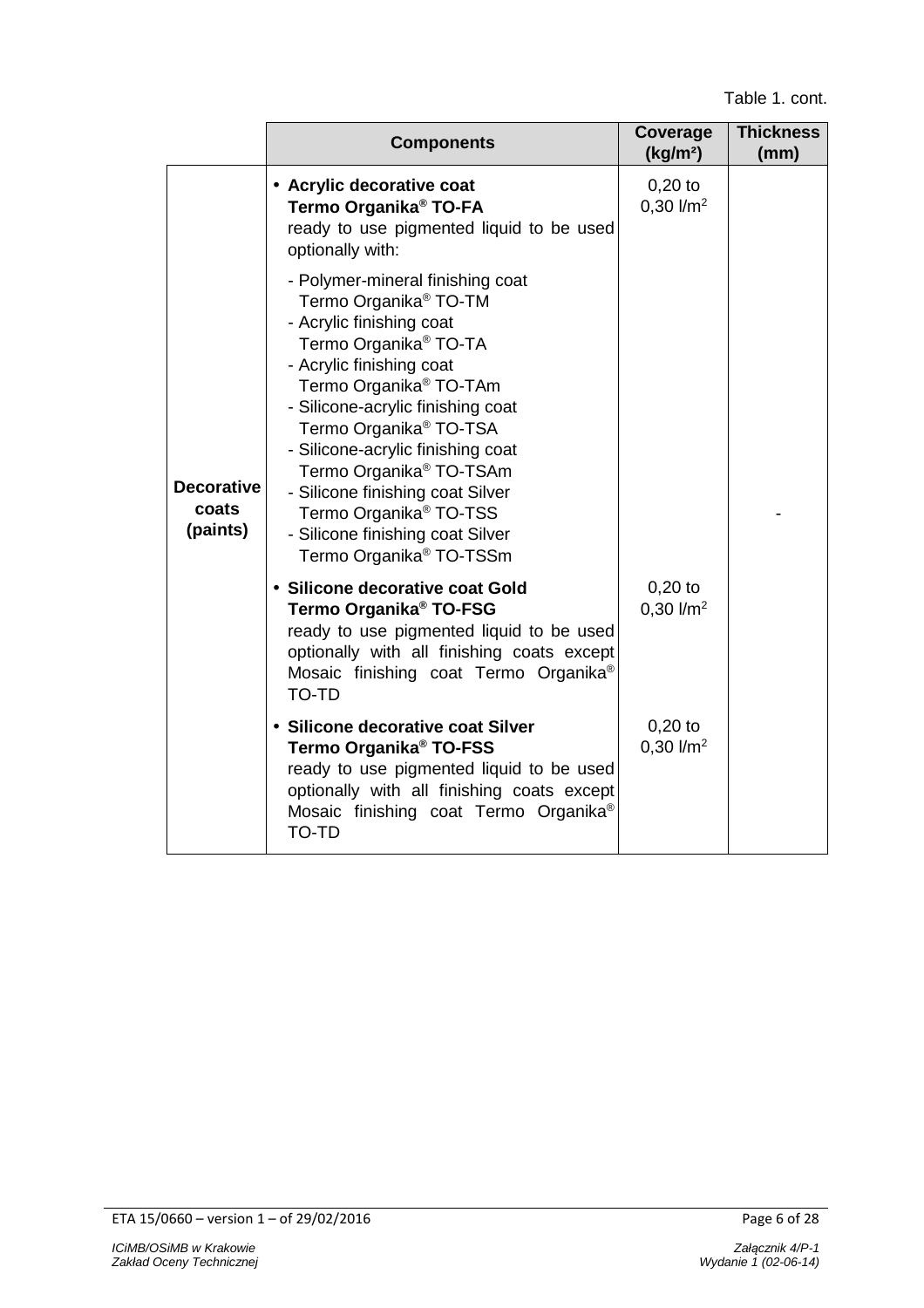|                                        | <b>Components</b>                                                                                                                                                                                                                                                                                                                                                                                                                                                                | Coverage<br>(kg/m <sup>2</sup> ) | <b>Thickness</b><br>(mm) |
|----------------------------------------|----------------------------------------------------------------------------------------------------------------------------------------------------------------------------------------------------------------------------------------------------------------------------------------------------------------------------------------------------------------------------------------------------------------------------------------------------------------------------------|----------------------------------|--------------------------|
|                                        | • Acrylic decorative coat<br>Termo Organika <sup>®</sup> TO-FA<br>ready to use pigmented liquid to be used<br>optionally with:<br>- Polymer-mineral finishing coat                                                                                                                                                                                                                                                                                                               | $0,20$ to<br>$0,30$ $1/m2$       |                          |
| <b>Decorative</b><br>coats<br>(paints) | Termo Organika <sup>®</sup> TO-TM<br>- Acrylic finishing coat<br>Termo Organika <sup>®</sup> TO-TA<br>- Acrylic finishing coat<br>Termo Organika <sup>®</sup> TO-TAm<br>- Silicone-acrylic finishing coat<br>Termo Organika <sup>®</sup> TO-TSA<br>- Silicone-acrylic finishing coat<br>Termo Organika <sup>®</sup> TO-TSAm<br>- Silicone finishing coat Silver<br>Termo Organika <sup>®</sup> TO-TSS<br>- Silicone finishing coat Silver<br>Termo Organika <sup>®</sup> TO-TSSm |                                  |                          |
|                                        | • Silicone decorative coat Gold<br>Termo Organika <sup>®</sup> TO-FSG<br>ready to use pigmented liquid to be used<br>optionally with all finishing coats except<br>Mosaic finishing coat Termo Organika <sup>®</sup><br><b>TO-TD</b>                                                                                                                                                                                                                                             | $0,20$ to<br>$0,30$ $1/m2$       |                          |
|                                        | • Silicone decorative coat Silver<br>Termo Organika <sup>®</sup> TO-FSS<br>ready to use pigmented liquid to be used<br>optionally with all finishing coats except<br>Mosaic finishing coat Termo Organika®<br>TO-TD                                                                                                                                                                                                                                                              | $0,20$ to<br>$0,30$ $1/m2$       |                          |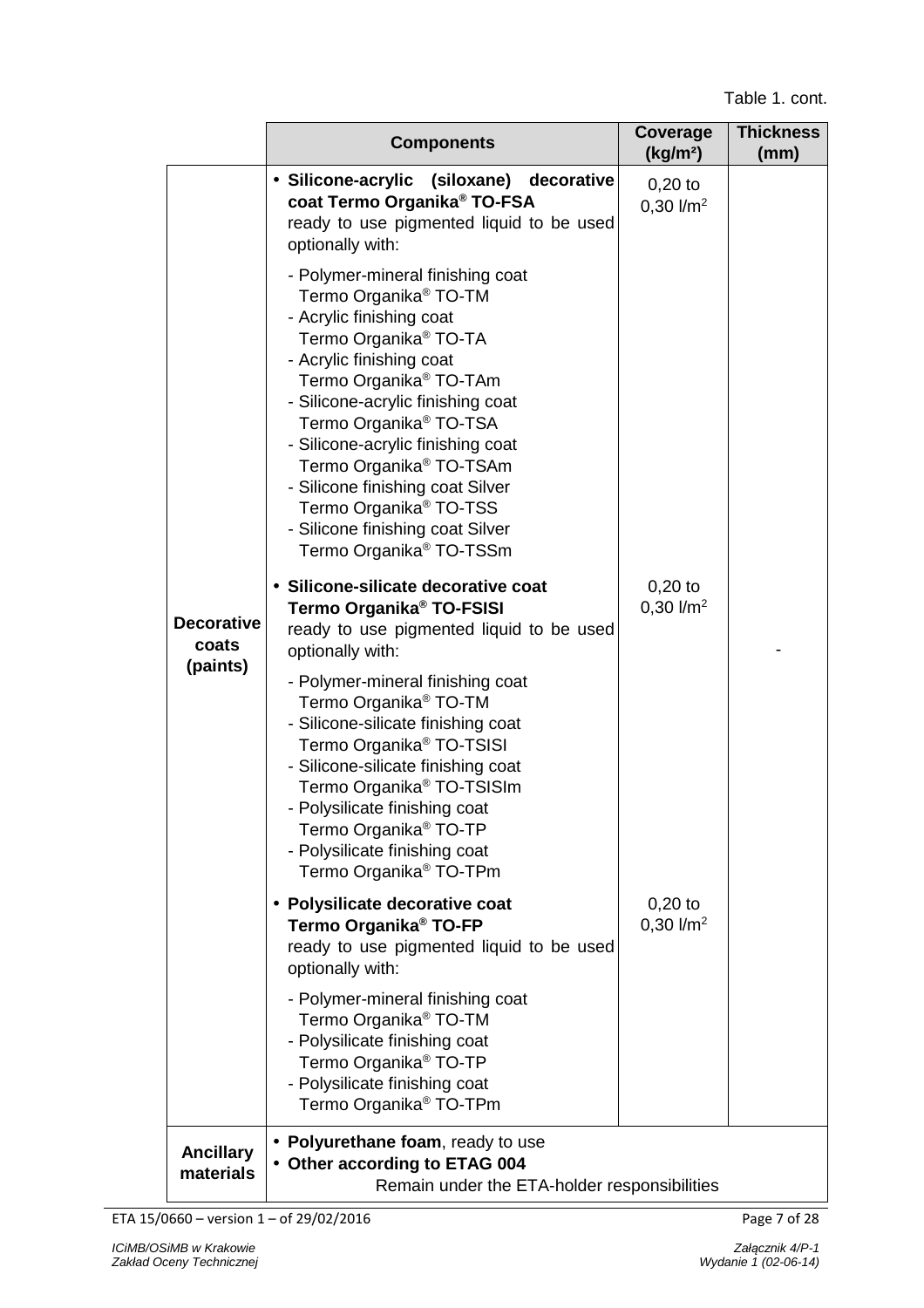|                                        | <b>Components</b>                                                                                                                                                                                                                                                                                                                                                                                                                                                                                                                                                                                         | Coverage<br>(kg/m <sup>2</sup> ) | <b>Thickness</b><br>(mm) |
|----------------------------------------|-----------------------------------------------------------------------------------------------------------------------------------------------------------------------------------------------------------------------------------------------------------------------------------------------------------------------------------------------------------------------------------------------------------------------------------------------------------------------------------------------------------------------------------------------------------------------------------------------------------|----------------------------------|--------------------------|
|                                        | • Silicone-acrylic (siloxane) decorative<br>coat Termo Organika <sup>®</sup> TO-FSA<br>ready to use pigmented liquid to be used<br>optionally with:<br>- Polymer-mineral finishing coat<br>Termo Organika <sup>®</sup> TO-TM<br>- Acrylic finishing coat<br>Termo Organika <sup>®</sup> TO-TA<br>- Acrylic finishing coat<br>Termo Organika <sup>®</sup> TO-TAm<br>- Silicone-acrylic finishing coat<br>Termo Organika <sup>®</sup> TO-TSA<br>- Silicone-acrylic finishing coat<br>Termo Organika <sup>®</sup> TO-TSAm<br>- Silicone finishing coat Silver<br>Termo Organika <sup>®</sup> TO-TSS          | $0,20$ to<br>$0,30$ $1/m2$       |                          |
| <b>Decorative</b><br>coats<br>(paints) | - Silicone finishing coat Silver<br>Termo Organika <sup>®</sup> TO-TSSm<br>• Silicone-silicate decorative coat<br>Termo Organika <sup>®</sup> TO-FSISI<br>ready to use pigmented liquid to be used<br>optionally with:<br>- Polymer-mineral finishing coat<br>Termo Organika <sup>®</sup> TO-TM<br>- Silicone-silicate finishing coat<br>Termo Organika <sup>®</sup> TO-TSISI<br>- Silicone-silicate finishing coat<br>Termo Organika <sup>®</sup> TO-TSISIm<br>- Polysilicate finishing coat<br>Termo Organika <sup>®</sup> TO-TP<br>- Polysilicate finishing coat<br>Termo Organika <sup>®</sup> TO-TPm | $0,20$ to<br>$0,30$ $1/m2$       |                          |
|                                        | • Polysilicate decorative coat<br>Termo Organika <sup>®</sup> TO-FP<br>ready to use pigmented liquid to be used<br>optionally with:<br>- Polymer-mineral finishing coat<br>Termo Organika <sup>®</sup> TO-TM<br>- Polysilicate finishing coat                                                                                                                                                                                                                                                                                                                                                             | $0,20$ to<br>$0,30$ $1/m2$       |                          |
| <b>Ancillary</b><br>materials          | Termo Organika <sup>®</sup> TO-TP<br>- Polysilicate finishing coat<br>Termo Organika <sup>®</sup> TO-TPm<br>• Polyurethane foam, ready to use<br>• Other according to ETAG 004<br>Remain under the ETA-holder responsibilities                                                                                                                                                                                                                                                                                                                                                                            |                                  |                          |

ETA 15/0660 – version 1 – of 29/02/2016 Page 7 of 28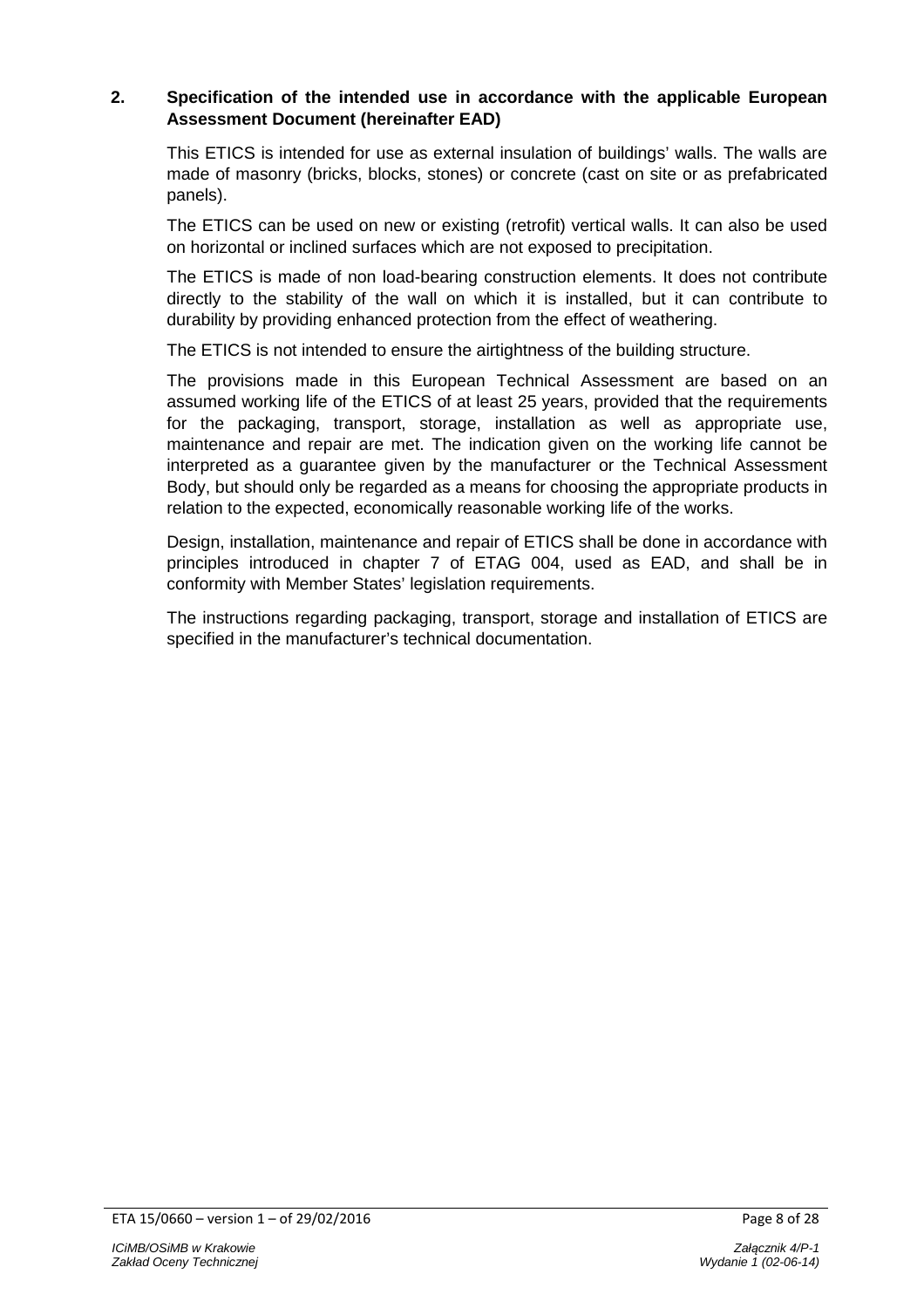# **2. Specification of the intended use in accordance with the applicable European Assessment Document (hereinafter EAD)**

This ETICS is intended for use as external insulation of buildings' walls. The walls are made of masonry (bricks, blocks, stones) or concrete (cast on site or as prefabricated panels).

The ETICS can be used on new or existing (retrofit) vertical walls. It can also be used on horizontal or inclined surfaces which are not exposed to precipitation.

The ETICS is made of non load-bearing construction elements. It does not contribute directly to the stability of the wall on which it is installed, but it can contribute to durability by providing enhanced protection from the effect of weathering.

The ETICS is not intended to ensure the airtightness of the building structure.

The provisions made in this European Technical Assessment are based on an assumed working life of the ETICS of at least 25 years, provided that the requirements for the packaging, transport, storage, installation as well as appropriate use, maintenance and repair are met. The indication given on the working life cannot be interpreted as a guarantee given by the manufacturer or the Technical Assessment Body, but should only be regarded as a means for choosing the appropriate products in relation to the expected, economically reasonable working life of the works.

Design, installation, maintenance and repair of ETICS shall be done in accordance with principles introduced in chapter 7 of ETAG 004, used as EAD, and shall be in conformity with Member States' legislation requirements.

The instructions regarding packaging, transport, storage and installation of ETICS are specified in the manufacturer's technical documentation.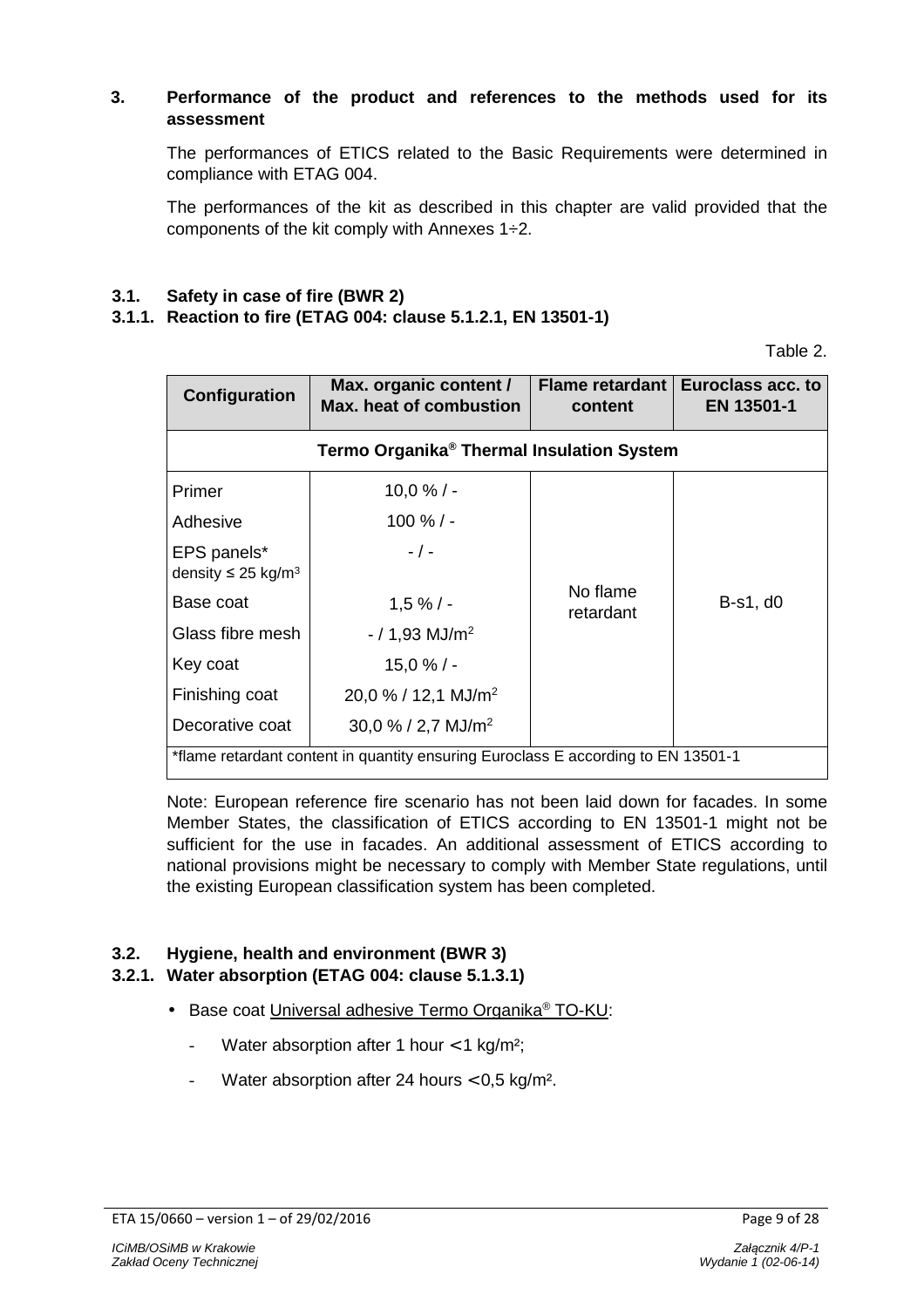# **3. Performance of the product and references to the methods used for its assessment**

The performances of ETICS related to the Basic Requirements were determined in compliance with ETAG 004.

The performances of the kit as described in this chapter are valid provided that the components of the kit comply with Annexes 1÷2.

### **3.1. Safety in case of fire (BWR 2)**

#### **3.1.1. Reaction to fire (ETAG 004: clause 5.1.2.1, EN 13501-1)**

Table 2.

| Configuration                                                                     | Max. organic content /<br>Max. heat of combustion | <b>Flame retardant</b><br>content | Euroclass acc. to<br>EN 13501-1 |  |
|-----------------------------------------------------------------------------------|---------------------------------------------------|-----------------------------------|---------------------------------|--|
| Termo Organika <sup>®</sup> Thermal Insulation System                             |                                                   |                                   |                                 |  |
| Primer                                                                            | $10,0%$ / -                                       |                                   |                                 |  |
| Adhesive                                                                          | $100 \%$ / -                                      |                                   |                                 |  |
| EPS panels*<br>density $\leq$ 25 kg/m <sup>3</sup>                                | $-$ / $-$                                         |                                   |                                 |  |
| Base coat                                                                         | 1,5%/                                             | No flame<br>retardant             | B-s1, d0                        |  |
| Glass fibre mesh                                                                  | $-$ / 1,93 MJ/m <sup>2</sup>                      |                                   |                                 |  |
| Key coat                                                                          | $15,0%$ / -                                       |                                   |                                 |  |
| Finishing coat                                                                    | $20,0% / 12,1$ MJ/m <sup>2</sup>                  |                                   |                                 |  |
| Decorative coat                                                                   | $30,0\%$ / 2,7 MJ/m <sup>2</sup>                  |                                   |                                 |  |
| *flame retardant content in quantity ensuring Euroclass E according to EN 13501-1 |                                                   |                                   |                                 |  |

Note: European reference fire scenario has not been laid down for facades. In some Member States, the classification of ETICS according to EN 13501-1 might not be sufficient for the use in facades. An additional assessment of ETICS according to national provisions might be necessary to comply with Member State regulations, until the existing European classification system has been completed.

# **3.2. Hygiene, health and environment (BWR 3)**

# **3.2.1. Water absorption (ETAG 004: clause 5.1.3.1)**

- Base coat Universal adhesive Termo Organika® TO-KU:
	- Water absorption after 1 hour  $<$  1 kg/m<sup>2</sup>;
	- Water absorption after 24 hours  $< 0.5$  kg/m<sup>2</sup>.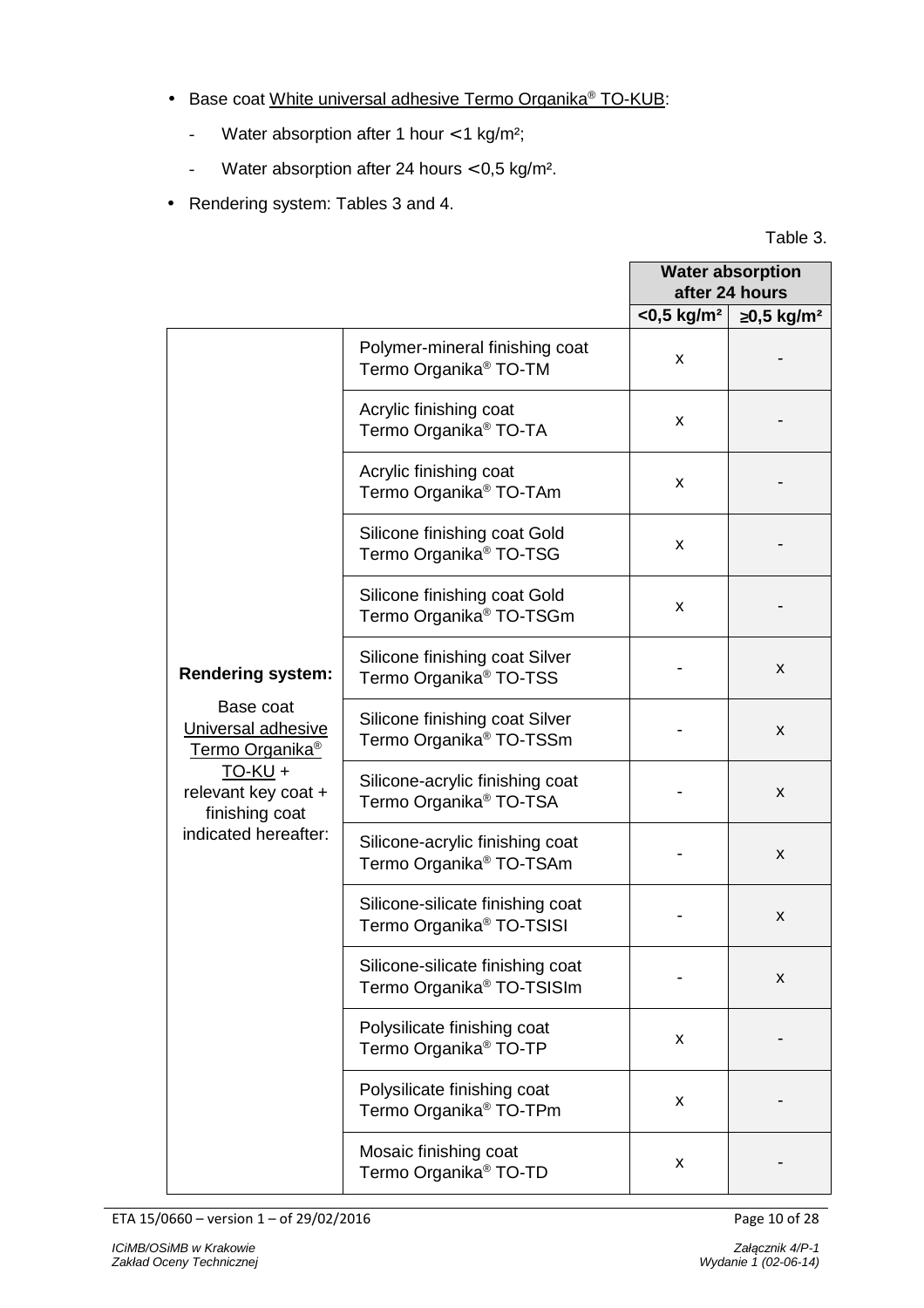- Base coat White universal adhesive Termo Organika® TO-KUB:
	- Water absorption after 1 hour  $<$  1 kg/m<sup>2</sup>;
	- Water absorption after 24 hours < 0,5 kg/m².
- Rendering system: Tables 3 and 4.

Table 3.

|                                                                            |                                                                           |                           | <b>Water absorption</b><br>after 24 hours |
|----------------------------------------------------------------------------|---------------------------------------------------------------------------|---------------------------|-------------------------------------------|
|                                                                            |                                                                           | $<$ 0,5 kg/m <sup>2</sup> | $≥0,5$ kg/m <sup>2</sup>                  |
|                                                                            | Polymer-mineral finishing coat<br>Termo Organika <sup>®</sup> TO-TM       | X                         |                                           |
|                                                                            | Acrylic finishing coat<br>Termo Organika <sup>®</sup> TO-TA               | X                         |                                           |
|                                                                            | Acrylic finishing coat<br>Termo Organika <sup>®</sup> TO-TAm              | X                         |                                           |
|                                                                            | Silicone finishing coat Gold<br>Termo Organika <sup>®</sup> TO-TSG        | X                         |                                           |
|                                                                            | Silicone finishing coat Gold<br>Termo Organika <sup>®</sup> TO-TSGm       | X                         |                                           |
| <b>Rendering system:</b>                                                   | Silicone finishing coat Silver<br>Termo Organika <sup>®</sup> TO-TSS      |                           | X                                         |
| Base coat<br>Universal adhesive<br>Termo Organika <sup>®</sup>             | Silicone finishing coat Silver<br>Termo Organika <sup>®</sup> TO-TSSm     |                           | X                                         |
| $TO-KU +$<br>relevant key coat +<br>finishing coat<br>indicated hereafter: | Silicone-acrylic finishing coat<br>Termo Organika <sup>®</sup> TO-TSA     |                           | X                                         |
|                                                                            | Silicone-acrylic finishing coat<br>Termo Organika <sup>®</sup> TO-TSAm    |                           | X                                         |
|                                                                            | Silicone-silicate finishing coat<br>Termo Organika <sup>®</sup> TO-TSISI  |                           | X                                         |
|                                                                            | Silicone-silicate finishing coat<br>Termo Organika <sup>®</sup> TO-TSISIm |                           | X                                         |
|                                                                            | Polysilicate finishing coat<br>Termo Organika <sup>®</sup> TO-TP          | X                         |                                           |
|                                                                            | Polysilicate finishing coat<br>Termo Organika <sup>®</sup> TO-TPm         | X                         |                                           |
|                                                                            | Mosaic finishing coat<br>Termo Organika <sup>®</sup> TO-TD                | X                         |                                           |

ETA 15/0660 – version 1 – of 29/02/2016 Page 10 of 28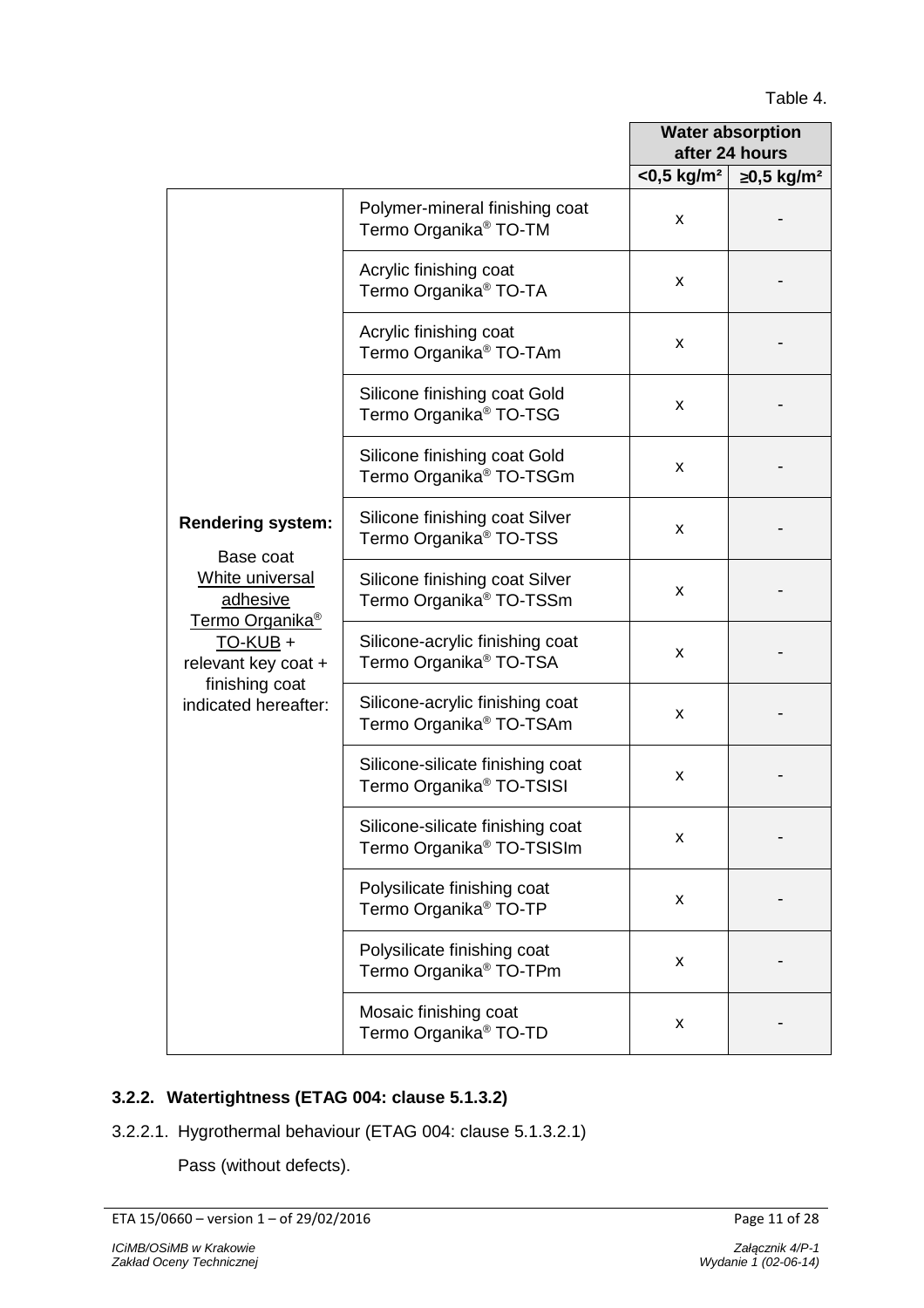# Table 4.

|                                                                                                 |                                                                           | <b>Water absorption</b><br>after 24 hours |                          |
|-------------------------------------------------------------------------------------------------|---------------------------------------------------------------------------|-------------------------------------------|--------------------------|
|                                                                                                 |                                                                           | $<$ 0,5 kg/m <sup>2</sup>                 | $≥0,5$ kg/m <sup>2</sup> |
|                                                                                                 | Polymer-mineral finishing coat<br>Termo Organika <sup>®</sup> TO-TM       | X                                         |                          |
|                                                                                                 | Acrylic finishing coat<br>Termo Organika <sup>®</sup> TO-TA               | X                                         |                          |
|                                                                                                 | Acrylic finishing coat<br>Termo Organika <sup>®</sup> TO-TAm              | X                                         |                          |
|                                                                                                 | Silicone finishing coat Gold<br>Termo Organika <sup>®</sup> TO-TSG        | X                                         |                          |
|                                                                                                 | Silicone finishing coat Gold<br>Termo Organika <sup>®</sup> TO-TSGm       | X                                         |                          |
| <b>Rendering system:</b><br>Base coat                                                           | Silicone finishing coat Silver<br>Termo Organika <sup>®</sup> TO-TSS      | X                                         |                          |
| White universal<br>adhesive<br><b>Termo Organika®</b><br><u>TO-KUB</u> +<br>relevant key coat + | Silicone finishing coat Silver<br>Termo Organika <sup>®</sup> TO-TSSm     | X                                         |                          |
|                                                                                                 | Silicone-acrylic finishing coat<br>Termo Organika <sup>®</sup> TO-TSA     | X                                         |                          |
| finishing coat<br>indicated hereafter:                                                          | Silicone-acrylic finishing coat<br>Termo Organika <sup>®</sup> TO-TSAm    | X                                         |                          |
|                                                                                                 | Silicone-silicate finishing coat<br>Termo Organika <sup>®</sup> TO-TSISI  | X                                         |                          |
|                                                                                                 | Silicone-silicate finishing coat<br>Termo Organika <sup>®</sup> TO-TSISIm | X                                         |                          |
|                                                                                                 | Polysilicate finishing coat<br>Termo Organika <sup>®</sup> TO-TP          | X                                         |                          |
|                                                                                                 | Polysilicate finishing coat<br>Termo Organika <sup>®</sup> TO-TPm         | X                                         |                          |
|                                                                                                 | Mosaic finishing coat<br>Termo Organika <sup>®</sup> TO-TD                | X                                         |                          |

# **3.2.2. Watertightness (ETAG 004: clause 5.1.3.2)**

3.2.2.1. Hygrothermal behaviour (ETAG 004: clause 5.1.3.2.1)

Pass (without defects).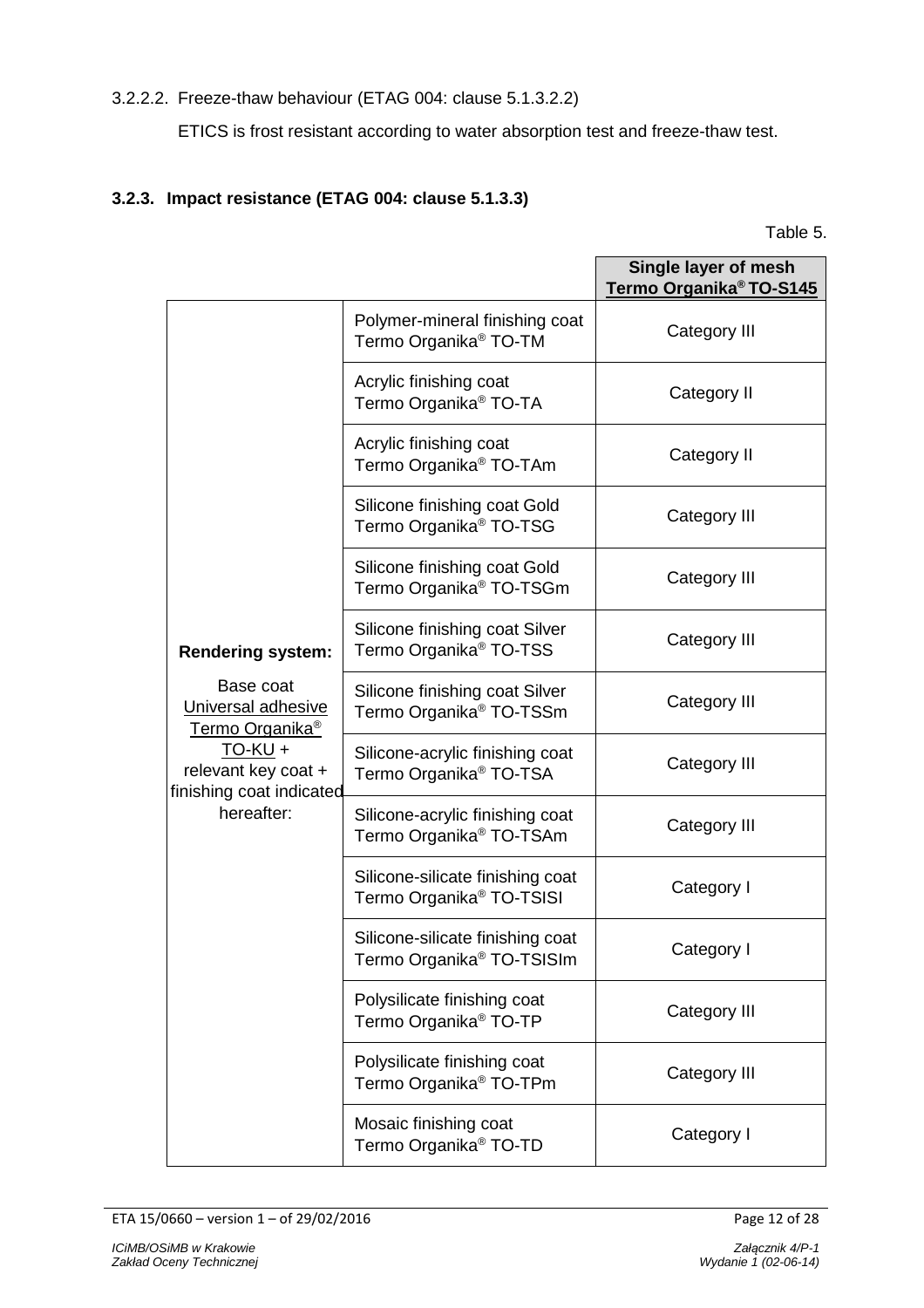# 3.2.2.2. Freeze-thaw behaviour (ETAG 004: clause 5.1.3.2.2)

ETICS is frost resistant according to water absorption test and freeze-thaw test.

# **3.2.3. Impact resistance (ETAG 004: clause 5.1.3.3)**

| able 5 |  |
|--------|--|
|        |  |

|                                                                |                                                                           | Single layer of mesh<br>Termo Organika <sup>®</sup> TO-S145 |
|----------------------------------------------------------------|---------------------------------------------------------------------------|-------------------------------------------------------------|
|                                                                | Polymer-mineral finishing coat<br>Termo Organika <sup>®</sup> TO-TM       | Category III                                                |
|                                                                | Acrylic finishing coat<br>Termo Organika <sup>®</sup> TO-TA               | Category II                                                 |
|                                                                | Acrylic finishing coat<br>Termo Organika <sup>®</sup> TO-TAm              | Category II                                                 |
|                                                                | Silicone finishing coat Gold<br>Termo Organika <sup>®</sup> TO-TSG        | Category III                                                |
|                                                                | Silicone finishing coat Gold<br>Termo Organika <sup>®</sup> TO-TSGm       | Category III                                                |
| <b>Rendering system:</b>                                       | Silicone finishing coat Silver<br>Termo Organika <sup>®</sup> TO-TSS      | Category III                                                |
| Base coat<br>Universal adhesive<br>Termo Organika <sup>®</sup> | Silicone finishing coat Silver<br>Termo Organika <sup>®</sup> TO-TSSm     | Category III                                                |
| $TO-KU +$<br>relevant key coat +<br>finishing coat indicated   | Silicone-acrylic finishing coat<br>Termo Organika <sup>®</sup> TO-TSA     | Category III                                                |
| hereafter:                                                     | Silicone-acrylic finishing coat<br>Termo Organika <sup>®</sup> TO-TSAm    | Category III                                                |
|                                                                | Silicone-silicate finishing coat<br>Termo Organika <sup>®</sup> TO-TSISI  | Category I                                                  |
|                                                                | Silicone-silicate finishing coat<br>Termo Organika <sup>®</sup> TO-TSISIm | Category I                                                  |
|                                                                | Polysilicate finishing coat<br>Termo Organika <sup>®</sup> TO-TP          | Category III                                                |
|                                                                | Polysilicate finishing coat<br>Termo Organika <sup>®</sup> TO-TPm         | Category III                                                |
|                                                                | Mosaic finishing coat<br>Termo Organika <sup>®</sup> TO-TD                | Category I                                                  |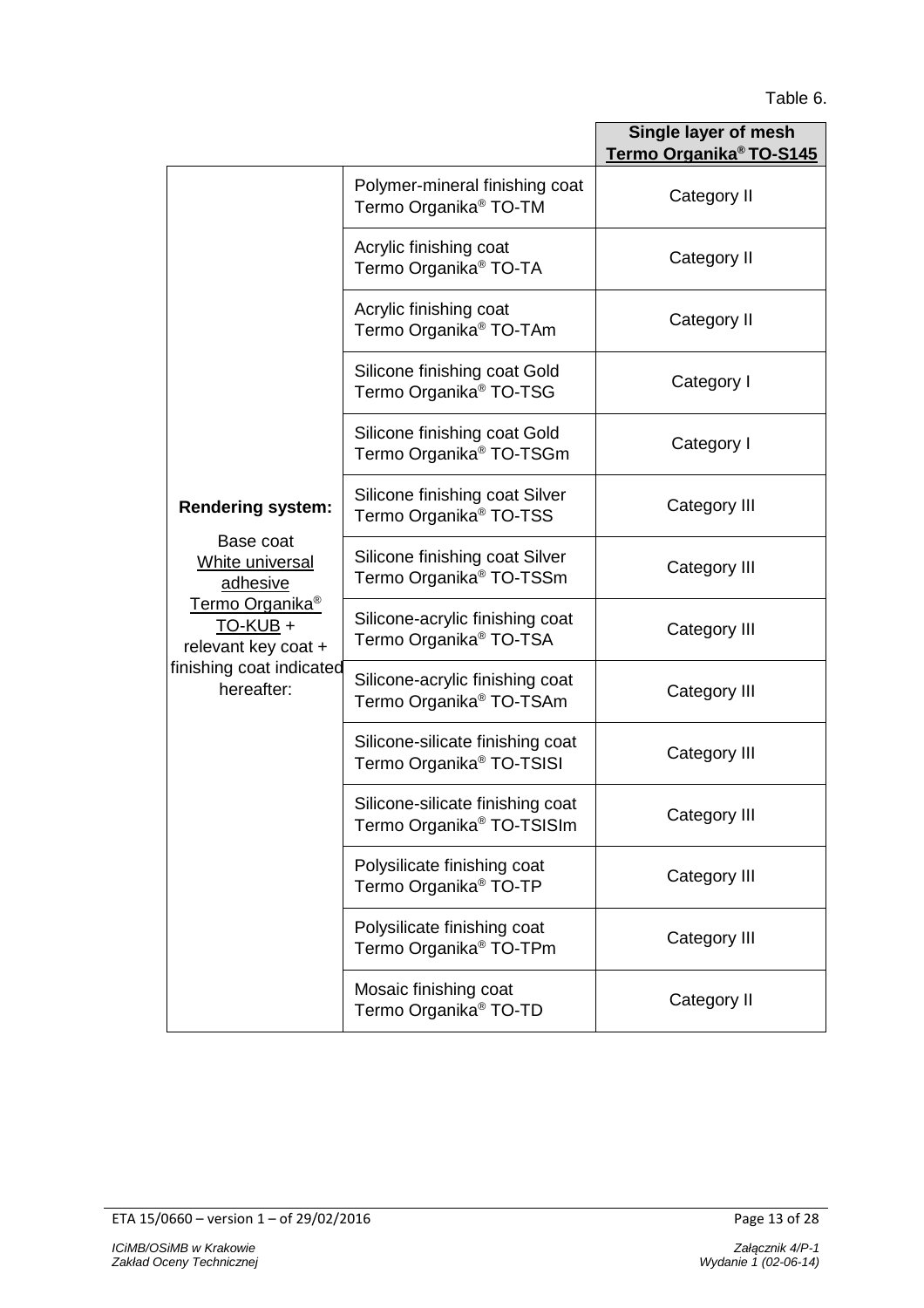# Table 6.

|                                                                                                                                                      |                                                                           | Single layer of mesh<br>Termo Organika <sup>®</sup> TO-S145 |
|------------------------------------------------------------------------------------------------------------------------------------------------------|---------------------------------------------------------------------------|-------------------------------------------------------------|
|                                                                                                                                                      | Polymer-mineral finishing coat<br>Termo Organika <sup>®</sup> TO-TM       | Category II                                                 |
|                                                                                                                                                      | Acrylic finishing coat<br>Termo Organika <sup>®</sup> TO-TA               | Category II                                                 |
|                                                                                                                                                      | Acrylic finishing coat<br>Termo Organika <sup>®</sup> TO-TAm              | Category II                                                 |
|                                                                                                                                                      | Silicone finishing coat Gold<br>Termo Organika <sup>®</sup> TO-TSG        | Category I                                                  |
|                                                                                                                                                      | Silicone finishing coat Gold<br>Termo Organika <sup>®</sup> TO-TSGm       | Category I                                                  |
| <b>Rendering system:</b>                                                                                                                             | Silicone finishing coat Silver<br>Termo Organika <sup>®</sup> TO-TSS      | Category III                                                |
| Base coat<br>White universal<br>adhesive<br>Termo Organika <sup>®</sup><br>TO-KUB +<br>relevant key coat +<br>finishing coat indicated<br>hereafter: | Silicone finishing coat Silver<br>Termo Organika <sup>®</sup> TO-TSSm     | Category III                                                |
|                                                                                                                                                      | Silicone-acrylic finishing coat<br>Termo Organika <sup>®</sup> TO-TSA     | Category III                                                |
|                                                                                                                                                      | Silicone-acrylic finishing coat<br>Termo Organika <sup>®</sup> TO-TSAm    | Category III                                                |
|                                                                                                                                                      | Silicone-silicate finishing coat<br>Termo Organika <sup>®</sup> TO-TSISI  | Category III                                                |
|                                                                                                                                                      | Silicone-silicate finishing coat<br>Termo Organika <sup>®</sup> TO-TSISIm | Category III                                                |
|                                                                                                                                                      | Polysilicate finishing coat<br>Termo Organika <sup>®</sup> TO-TP          | Category III                                                |
|                                                                                                                                                      | Polysilicate finishing coat<br>Termo Organika <sup>®</sup> TO-TPm         | Category III                                                |
|                                                                                                                                                      | Mosaic finishing coat<br>Termo Organika <sup>®</sup> TO-TD                | Category II                                                 |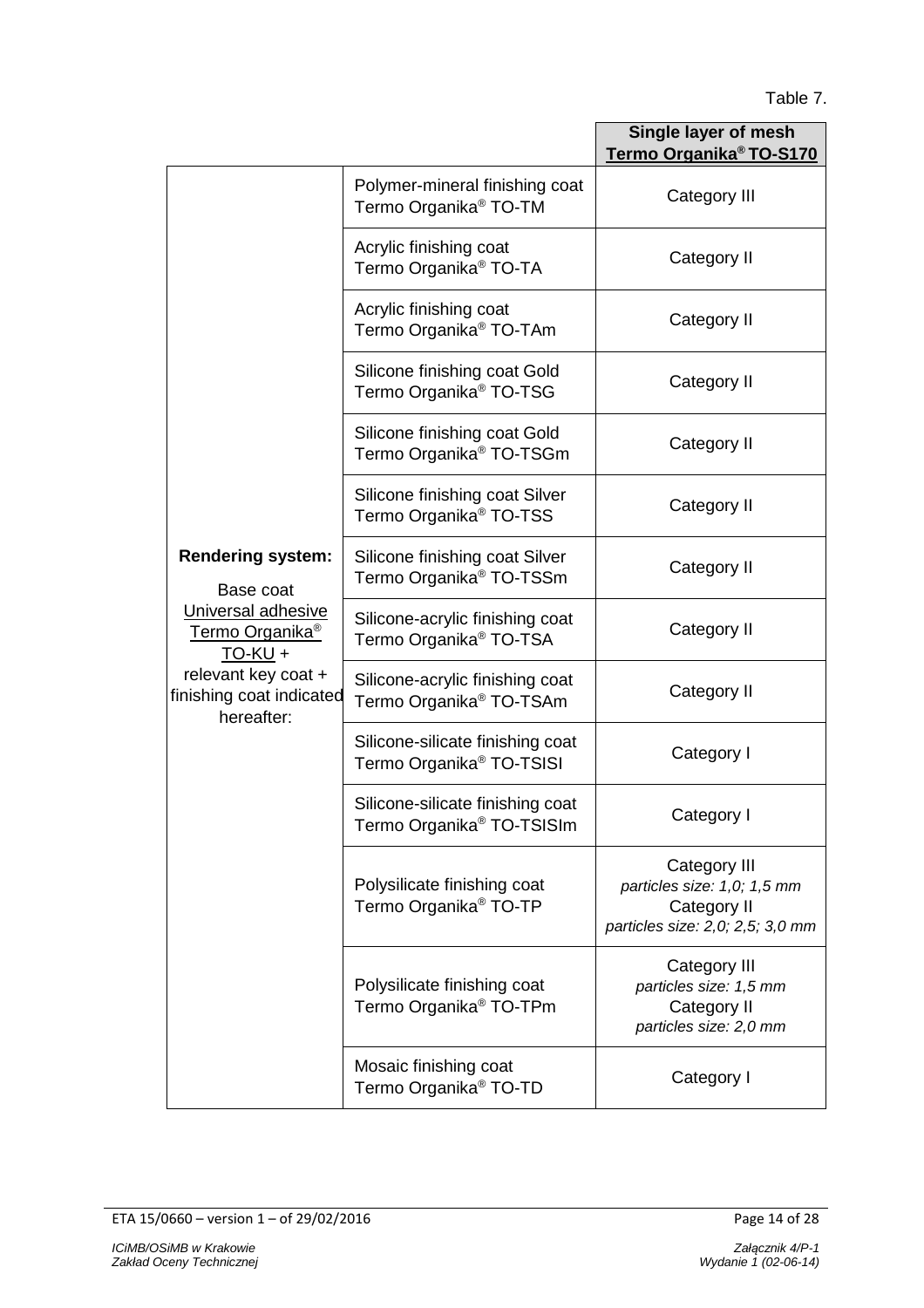# Table 7.

|                                                                                                                                 |                                                                           | Single layer of mesh<br>Termo Organika <sup>®</sup> TO-S170                                    |
|---------------------------------------------------------------------------------------------------------------------------------|---------------------------------------------------------------------------|------------------------------------------------------------------------------------------------|
|                                                                                                                                 | Polymer-mineral finishing coat<br>Termo Organika <sup>®</sup> TO-TM       | Category III                                                                                   |
|                                                                                                                                 | Acrylic finishing coat<br>Termo Organika <sup>®</sup> TO-TA               | Category II                                                                                    |
|                                                                                                                                 | Acrylic finishing coat<br>Termo Organika <sup>®</sup> TO-TAm              | Category II                                                                                    |
|                                                                                                                                 | Silicone finishing coat Gold<br>Termo Organika <sup>®</sup> TO-TSG        | Category II                                                                                    |
|                                                                                                                                 | Silicone finishing coat Gold<br>Termo Organika <sup>®</sup> TO-TSGm       | Category II                                                                                    |
|                                                                                                                                 | Silicone finishing coat Silver<br>Termo Organika <sup>®</sup> TO-TSS      | Category II                                                                                    |
| <b>Rendering system:</b><br>Base coat                                                                                           | Silicone finishing coat Silver<br>Termo Organika <sup>®</sup> TO-TSSm     | Category II                                                                                    |
| Universal adhesive<br>Termo Organika <sup>®</sup><br>$TO-KU +$<br>relevant key coat +<br>finishing coat indicated<br>hereafter: | Silicone-acrylic finishing coat<br>Termo Organika <sup>®</sup> TO-TSA     | Category II                                                                                    |
|                                                                                                                                 | Silicone-acrylic finishing coat<br>Termo Organika <sup>®</sup> TO-TSAm    | Category II                                                                                    |
|                                                                                                                                 | Silicone-silicate finishing coat<br>Termo Organika <sup>®</sup> TO-TSISI  | Category I                                                                                     |
|                                                                                                                                 | Silicone-silicate finishing coat<br>Termo Organika <sup>®</sup> TO-TSISIm | Category I                                                                                     |
|                                                                                                                                 | Polysilicate finishing coat<br>Termo Organika <sup>®</sup> TO-TP          | Category III<br>particles size: 1,0; 1,5 mm<br>Category II<br>particles size: 2,0; 2,5; 3,0 mm |
|                                                                                                                                 | Polysilicate finishing coat<br>Termo Organika <sup>®</sup> TO-TPm         | Category III<br>particles size: 1,5 mm<br>Category II<br>particles size: 2,0 mm                |
|                                                                                                                                 | Mosaic finishing coat<br>Termo Organika <sup>®</sup> TO-TD                | Category I                                                                                     |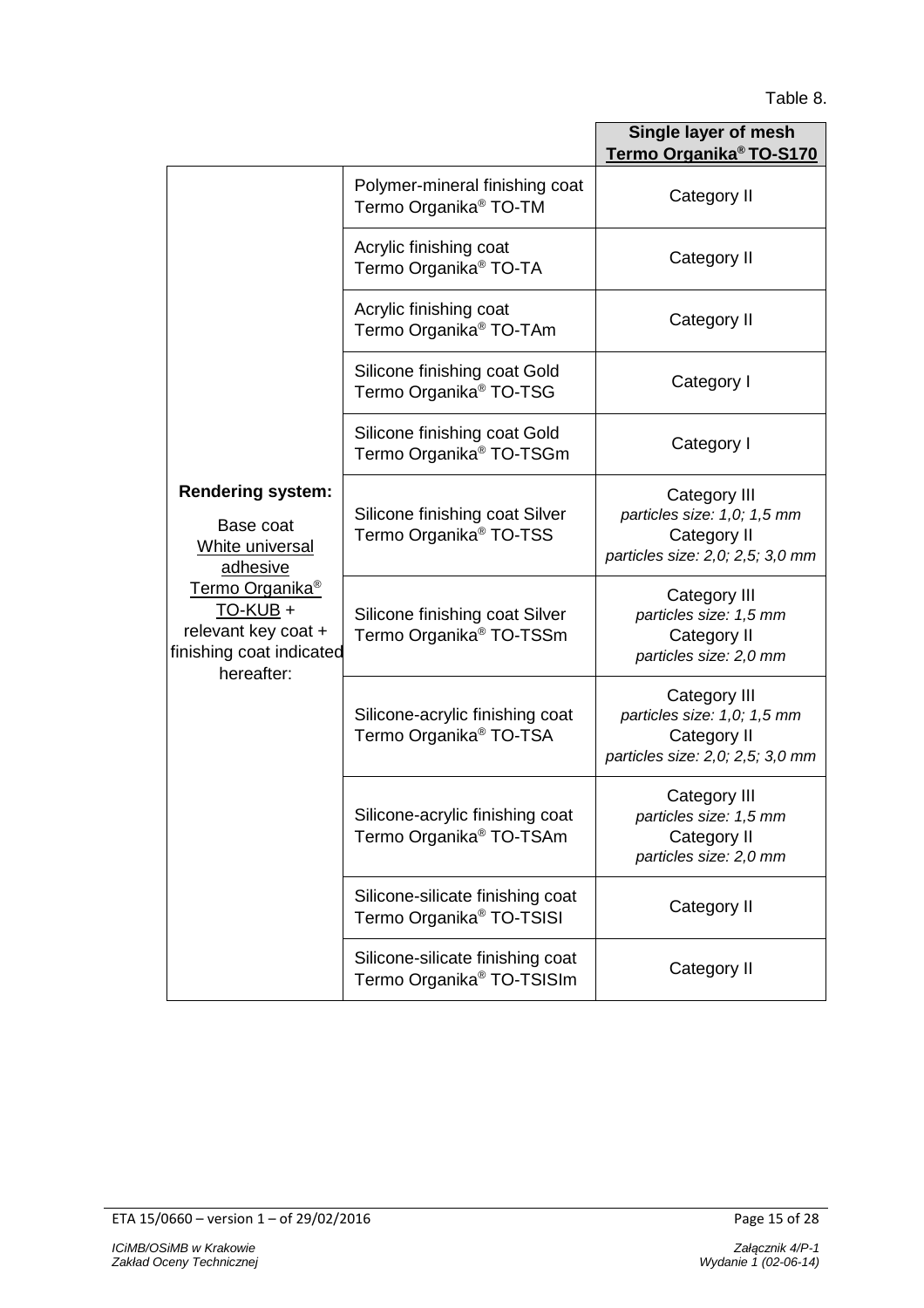# Table 8.

|                                                                                                                                                                                  |                                                                           | Single layer of mesh<br>Termo Organika <sup>®</sup> TO-S170                                    |
|----------------------------------------------------------------------------------------------------------------------------------------------------------------------------------|---------------------------------------------------------------------------|------------------------------------------------------------------------------------------------|
|                                                                                                                                                                                  | Polymer-mineral finishing coat<br>Termo Organika <sup>®</sup> TO-TM       | Category II                                                                                    |
|                                                                                                                                                                                  | Acrylic finishing coat<br>Termo Organika <sup>®</sup> TO-TA               | Category II                                                                                    |
|                                                                                                                                                                                  | Acrylic finishing coat<br>Termo Organika <sup>®</sup> TO-TAm              | Category II                                                                                    |
|                                                                                                                                                                                  | Silicone finishing coat Gold<br>Termo Organika <sup>®</sup> TO-TSG        | Category I                                                                                     |
|                                                                                                                                                                                  | Silicone finishing coat Gold<br>Termo Organika <sup>®</sup> TO-TSGm       | Category I                                                                                     |
| <b>Rendering system:</b><br>Base coat<br>White universal<br>adhesive<br>Termo Organika <sup>®</sup><br>TO-KUB +<br>relevant key coat +<br>finishing coat indicated<br>hereafter: | Silicone finishing coat Silver<br>Termo Organika <sup>®</sup> TO-TSS      | Category III<br>particles size: 1,0; 1,5 mm<br>Category II<br>particles size: 2,0; 2,5; 3,0 mm |
|                                                                                                                                                                                  | Silicone finishing coat Silver<br>Termo Organika <sup>®</sup> TO-TSSm     | Category III<br>particles size: 1,5 mm<br>Category II<br>particles size: 2,0 mm                |
|                                                                                                                                                                                  | Silicone-acrylic finishing coat<br>Termo Organika <sup>®</sup> TO-TSA     | Category III<br>particles size: 1,0; 1,5 mm<br>Category II<br>particles size: 2,0; 2,5; 3,0 mm |
|                                                                                                                                                                                  | Silicone-acrylic finishing coat<br>Termo Organika <sup>®</sup> TO-TSAm    | Category III<br>particles size: 1,5 mm<br>Category II<br>particles size: 2,0 mm                |
|                                                                                                                                                                                  | Silicone-silicate finishing coat<br>Termo Organika <sup>®</sup> TO-TSISI  | Category II                                                                                    |
|                                                                                                                                                                                  | Silicone-silicate finishing coat<br>Termo Organika <sup>®</sup> TO-TSISIm | Category II                                                                                    |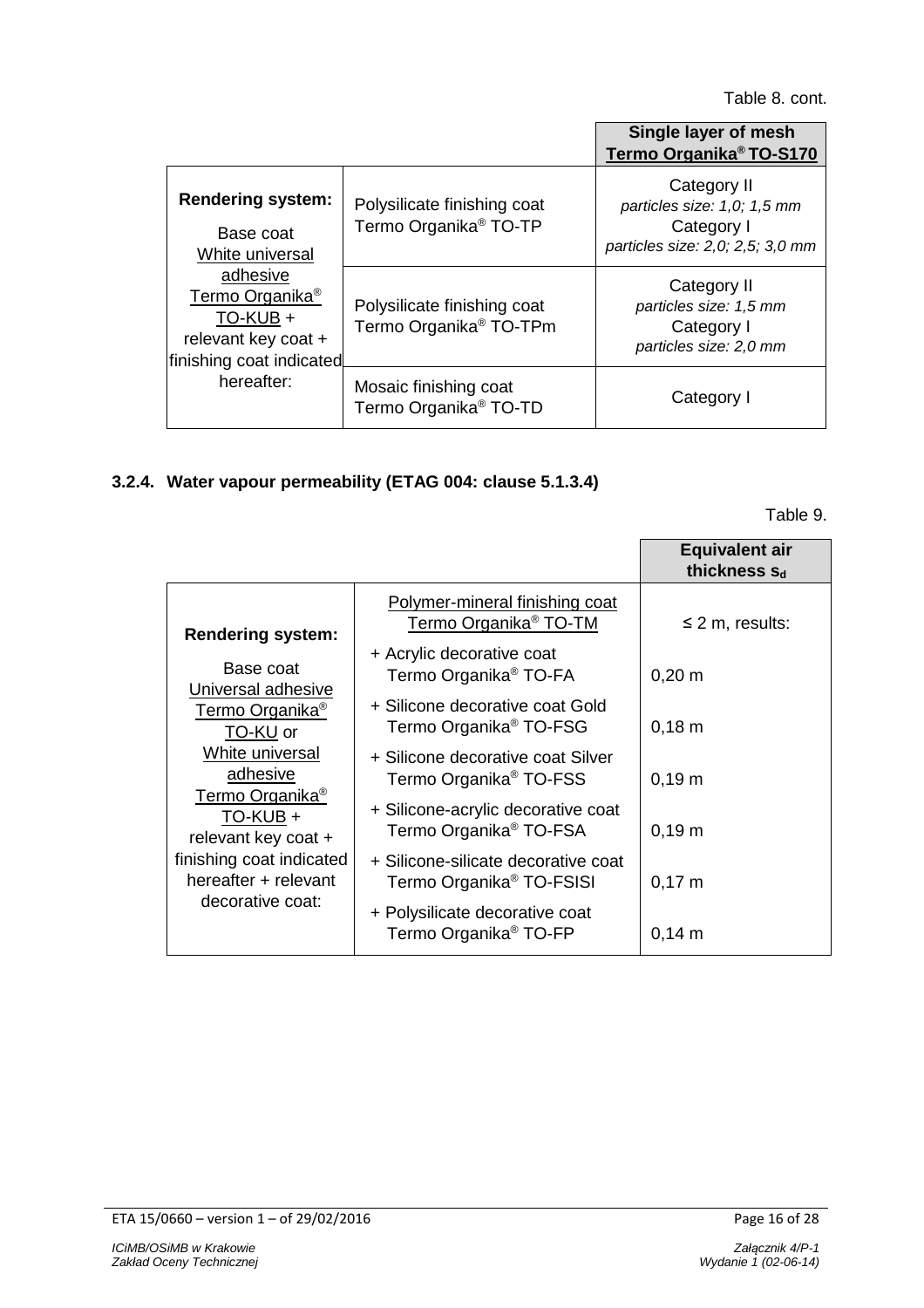|                                                                                                                                                                                  |                                                                   | Single layer of mesh<br>Termo Organika <sup>®</sup> TO-S170                                  |
|----------------------------------------------------------------------------------------------------------------------------------------------------------------------------------|-------------------------------------------------------------------|----------------------------------------------------------------------------------------------|
| <b>Rendering system:</b><br>Base coat<br>White universal<br>adhesive<br>Termo Organika <sup>®</sup><br>TO-KUB +<br>relevant key coat +<br>finishing coat indicated<br>hereafter: | Polysilicate finishing coat<br>Termo Organika <sup>®</sup> TO-TP  | Category II<br>particles size: 1,0; 1,5 mm<br>Category I<br>particles size: 2,0; 2,5; 3,0 mm |
|                                                                                                                                                                                  | Polysilicate finishing coat<br>Termo Organika <sup>®</sup> TO-TPm | Category II<br>particles size: 1,5 mm<br>Category I<br>particles size: 2,0 mm                |
|                                                                                                                                                                                  | Mosaic finishing coat<br>Termo Organika <sup>®</sup> TO-TD        | Category I                                                                                   |

# **3.2.4. Water vapour permeability (ETAG 004: clause 5.1.3.4)**

Table 9.

|                                                                                                                    |                                                                             | <b>Equivalent air</b><br>thickness S <sub>d</sub> |
|--------------------------------------------------------------------------------------------------------------------|-----------------------------------------------------------------------------|---------------------------------------------------|
| <b>Rendering system:</b>                                                                                           | Polymer-mineral finishing coat<br>Termo Organika <sup>®</sup> TO-TM         | $\leq$ 2 m, results:                              |
| Base coat                                                                                                          | + Acrylic decorative coat<br>Termo Organika <sup>®</sup> TO-FA              | $0,20 \; m$                                       |
| Universal adhesive<br>Termo Organika <sup>®</sup><br>TO-KU or                                                      | + Silicone decorative coat Gold<br>Termo Organika <sup>®</sup> TO-FSG       | $0,18 \; m$                                       |
| White universal<br>adhesive                                                                                        | + Silicone decorative coat Silver<br>Termo Organika <sup>®</sup> TO-FSS     | $0,19 \; m$                                       |
| Termo Organika <sup>®</sup><br>TO-KUB +<br>relevant key coat +<br>finishing coat indicated<br>hereafter + relevant | + Silicone-acrylic decorative coat<br>Termo Organika <sup>®</sup> TO-FSA    | $0,19 \; m$                                       |
|                                                                                                                    | + Silicone-silicate decorative coat<br>Termo Organika <sup>®</sup> TO-FSISI | $0,17 \; m$                                       |
| decorative coat:                                                                                                   | + Polysilicate decorative coat<br>Termo Organika <sup>®</sup> TO-FP         | $0,14 \; m$                                       |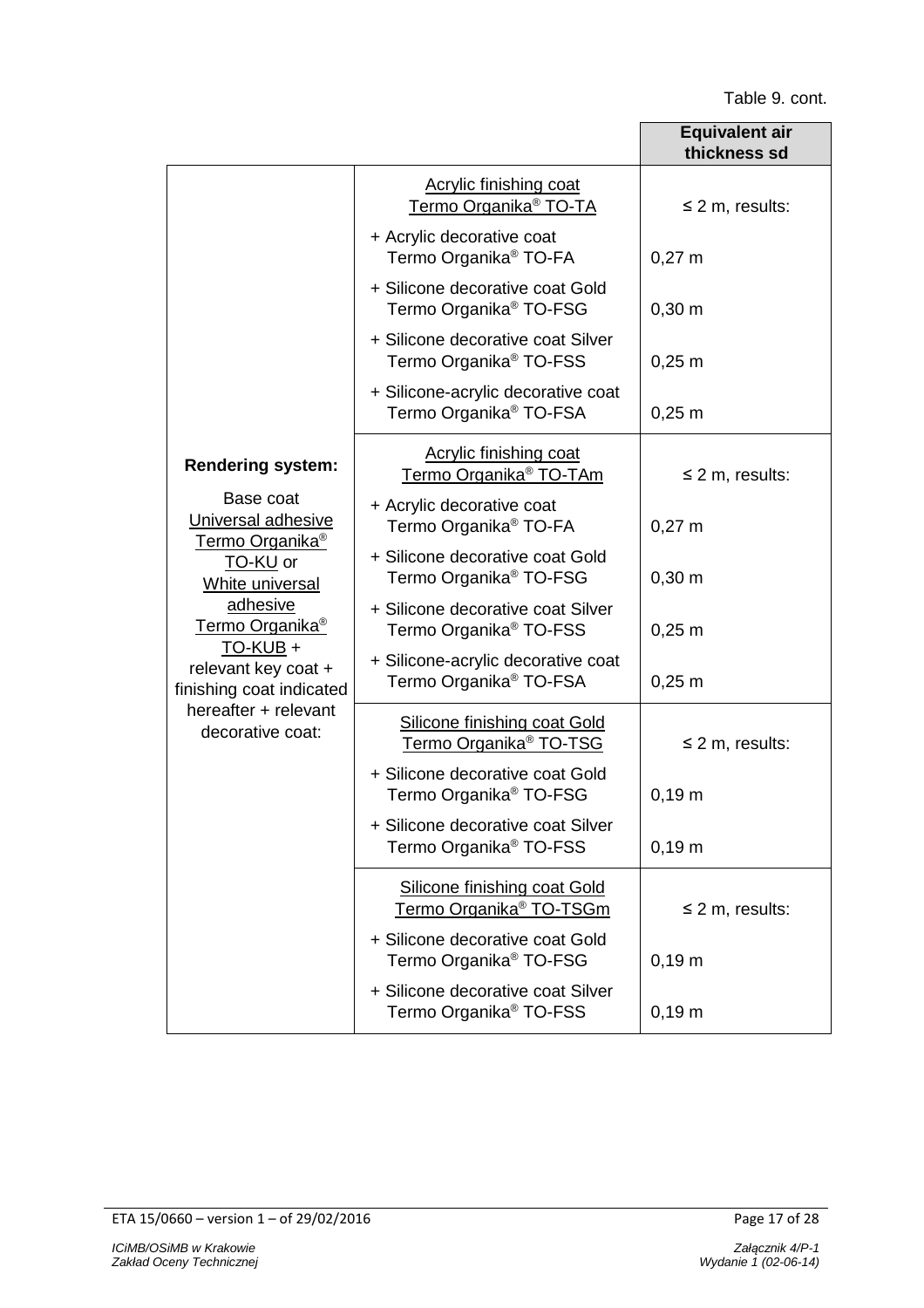|                                                                                                                                                                                                                                                            |                                                                          | <b>Equivalent air</b><br>thickness sd |
|------------------------------------------------------------------------------------------------------------------------------------------------------------------------------------------------------------------------------------------------------------|--------------------------------------------------------------------------|---------------------------------------|
|                                                                                                                                                                                                                                                            | <b>Acrylic finishing coat</b><br>Termo Organika <sup>®</sup> TO-TA       | $\leq$ 2 m, results:                  |
|                                                                                                                                                                                                                                                            | + Acrylic decorative coat<br>Termo Organika <sup>®</sup> TO-FA           | $0,27 \; m$                           |
|                                                                                                                                                                                                                                                            | + Silicone decorative coat Gold<br>Termo Organika <sup>®</sup> TO-FSG    | $0,30 \; \text{m}$                    |
|                                                                                                                                                                                                                                                            | + Silicone decorative coat Silver<br>Termo Organika <sup>®</sup> TO-FSS  | $0,25 \; m$                           |
|                                                                                                                                                                                                                                                            | + Silicone-acrylic decorative coat<br>Termo Organika <sup>®</sup> TO-FSA | $0,25 \; m$                           |
| <b>Rendering system:</b>                                                                                                                                                                                                                                   | Acrylic finishing coat<br>Termo Organika <sup>®</sup> TO-TAm             | $\leq$ 2 m, results:                  |
| Base coat<br>Universal adhesive<br>Termo Organika <sup>®</sup><br>TO-KU or<br>White universal<br>adhesive<br>Termo Organika <sup>®</sup><br><u>TO-KUB</u> +<br>relevant key coat +<br>finishing coat indicated<br>hereafter + relevant<br>decorative coat: | + Acrylic decorative coat<br>Termo Organika <sup>®</sup> TO-FA           | $0,27 \; m$                           |
|                                                                                                                                                                                                                                                            | + Silicone decorative coat Gold<br>Termo Organika <sup>®</sup> TO-FSG    | $0,30 \; \text{m}$                    |
|                                                                                                                                                                                                                                                            | + Silicone decorative coat Silver<br>Termo Organika <sup>®</sup> TO-FSS  | $0,25 \; m$                           |
|                                                                                                                                                                                                                                                            | + Silicone-acrylic decorative coat<br>Termo Organika <sup>®</sup> TO-FSA | $0,25 \; m$                           |
|                                                                                                                                                                                                                                                            | Silicone finishing coat Gold<br>Termo Organika <sup>®</sup> TO-TSG       | $\leq$ 2 m, results:                  |
|                                                                                                                                                                                                                                                            | + Silicone decorative coat Gold<br>Termo Organika <sup>®</sup> TO-FSG    | $0,19 \; m$                           |
|                                                                                                                                                                                                                                                            | + Silicone decorative coat Silver<br>Termo Organika <sup>®</sup> TO-FSS  | $0,19 \; m$                           |
|                                                                                                                                                                                                                                                            | Silicone finishing coat Gold<br>Termo Organika <sup>®</sup> TO-TSGm      | $\leq$ 2 m, results:                  |
|                                                                                                                                                                                                                                                            | + Silicone decorative coat Gold<br>Termo Organika <sup>®</sup> TO-FSG    | $0,19 \; m$                           |
|                                                                                                                                                                                                                                                            | + Silicone decorative coat Silver<br>Termo Organika <sup>®</sup> TO-FSS  | 0,19 m                                |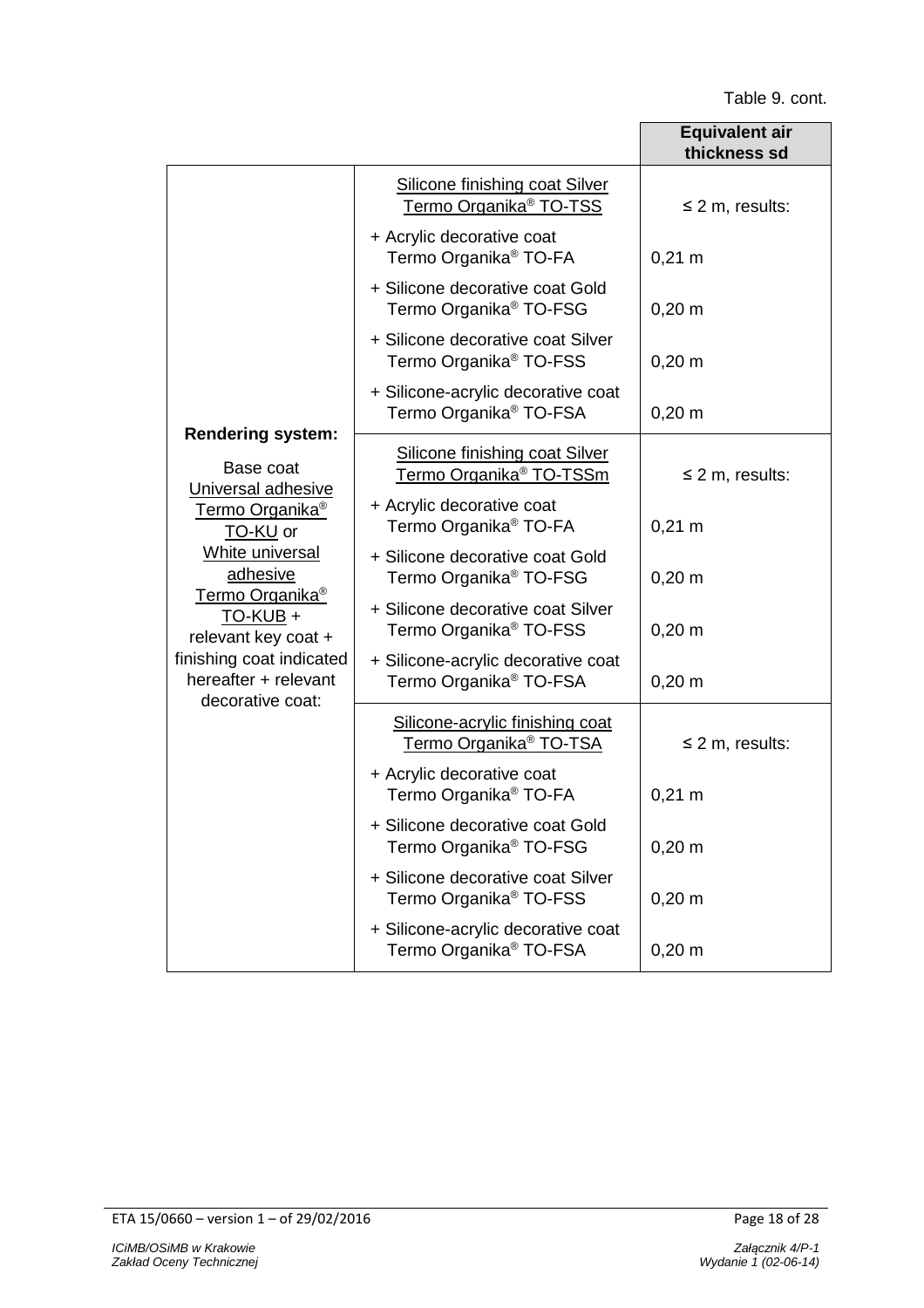|                                                                                                                                                                                                                  |                                                                              | Equivalent air<br>thickness sd |
|------------------------------------------------------------------------------------------------------------------------------------------------------------------------------------------------------------------|------------------------------------------------------------------------------|--------------------------------|
|                                                                                                                                                                                                                  | <b>Silicone finishing coat Silver</b><br>Termo Organika <sup>®</sup> TO-TSS  | $\leq$ 2 m, results:           |
|                                                                                                                                                                                                                  | + Acrylic decorative coat<br>Termo Organika <sup>®</sup> TO-FA               | $0,21 \; m$                    |
|                                                                                                                                                                                                                  | + Silicone decorative coat Gold<br>Termo Organika <sup>®</sup> TO-FSG        | $0,20 \; m$                    |
|                                                                                                                                                                                                                  | + Silicone decorative coat Silver<br>Termo Organika <sup>®</sup> TO-FSS      | $0,20 \; m$                    |
|                                                                                                                                                                                                                  | + Silicone-acrylic decorative coat<br>Termo Organika <sup>®</sup> TO-FSA     | $0,20 \; m$                    |
| <b>Rendering system:</b><br>Base coat<br>Universal adhesive                                                                                                                                                      | <b>Silicone finishing coat Silver</b><br>Termo Organika <sup>®</sup> TO-TSSm | $\leq$ 2 m, results:           |
| Termo Organika <sup>®</sup><br>TO-KU or<br>White universal<br>adhesive<br>Termo Organika <sup>®</sup><br>TO-KUB +<br>relevant key coat +<br>finishing coat indicated<br>hereafter + relevant<br>decorative coat: | + Acrylic decorative coat<br>Termo Organika <sup>®</sup> TO-FA               | $0,21 \; m$                    |
|                                                                                                                                                                                                                  | + Silicone decorative coat Gold<br>Termo Organika <sup>®</sup> TO-FSG        | $0,20 \; m$                    |
|                                                                                                                                                                                                                  | + Silicone decorative coat Silver<br>Termo Organika <sup>®</sup> TO-FSS      | $0,20 \; m$                    |
|                                                                                                                                                                                                                  | + Silicone-acrylic decorative coat<br>Termo Organika <sup>®</sup> TO-FSA     | $0,20 \; m$                    |
|                                                                                                                                                                                                                  | Silicone-acrylic finishing coat<br>Termo Organika <sup>®</sup> TO-TSA        | $\leq$ 2 m, results:           |
|                                                                                                                                                                                                                  | + Acrylic decorative coat<br>Termo Organika <sup>®</sup> TO-FA               | $0,21 \; m$                    |
|                                                                                                                                                                                                                  | + Silicone decorative coat Gold<br>Termo Organika <sup>®</sup> TO-FSG        | $0,20 \; m$                    |
|                                                                                                                                                                                                                  | + Silicone decorative coat Silver<br>Termo Organika <sup>®</sup> TO-FSS      | $0,20 \; m$                    |
|                                                                                                                                                                                                                  | + Silicone-acrylic decorative coat<br>Termo Organika <sup>®</sup> TO-FSA     | $0,20 \; m$                    |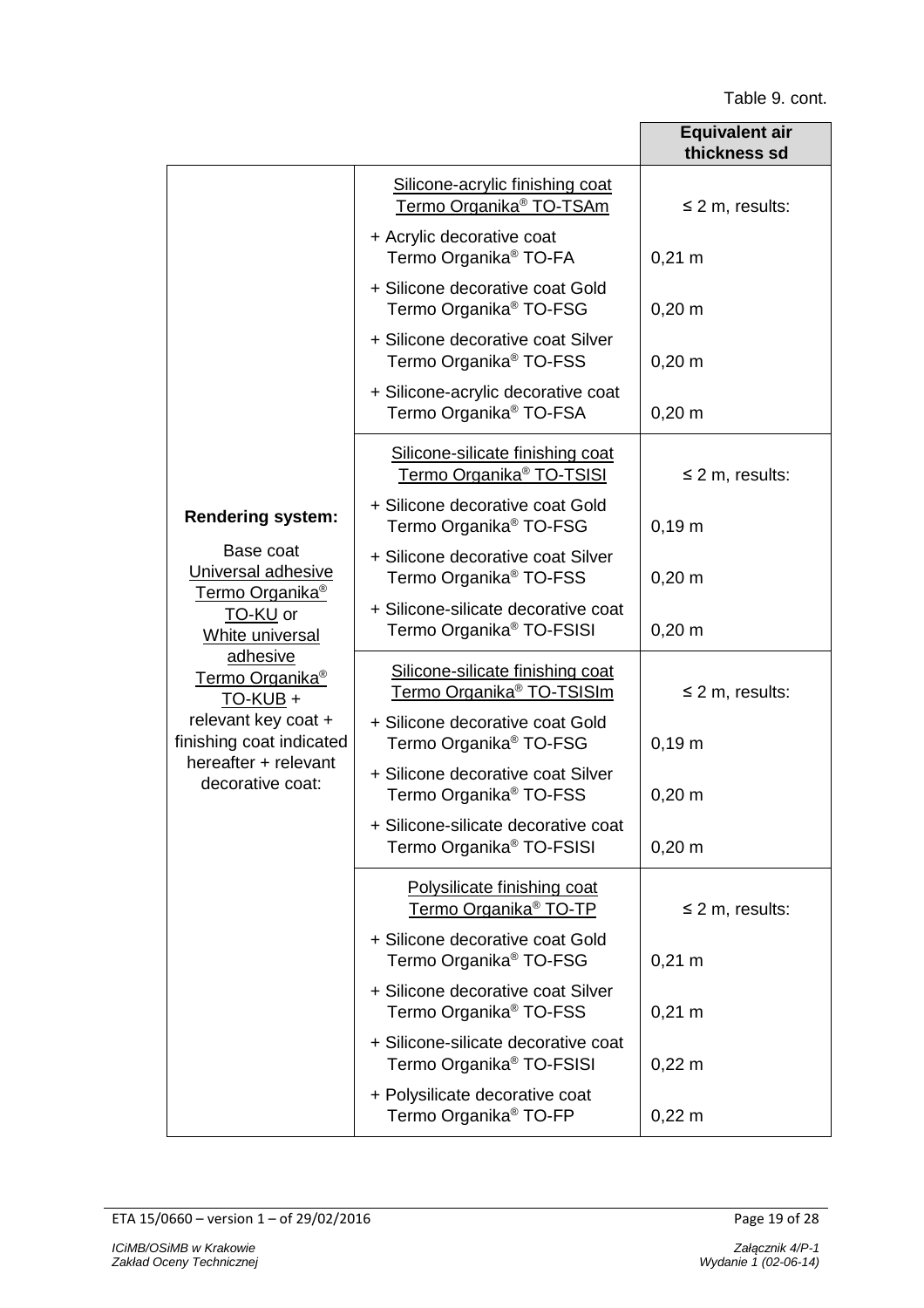|                                                                                                                                                      |                                                                             | <b>Equivalent air</b><br>thickness sd |
|------------------------------------------------------------------------------------------------------------------------------------------------------|-----------------------------------------------------------------------------|---------------------------------------|
|                                                                                                                                                      | Silicone-acrylic finishing coat<br>Termo Organika <sup>®</sup> TO-TSAm      | $\leq$ 2 m, results:                  |
|                                                                                                                                                      | + Acrylic decorative coat<br>Termo Organika <sup>®</sup> TO-FA              | $0,21 \; m$                           |
|                                                                                                                                                      | + Silicone decorative coat Gold<br>Termo Organika <sup>®</sup> TO-FSG       | $0,20 \; m$                           |
|                                                                                                                                                      | + Silicone decorative coat Silver<br>Termo Organika <sup>®</sup> TO-FSS     | $0,20 \; m$                           |
|                                                                                                                                                      | + Silicone-acrylic decorative coat<br>Termo Organika <sup>®</sup> TO-FSA    | $0,20 \; m$                           |
|                                                                                                                                                      | Silicone-silicate finishing coat<br>Termo Organika <sup>®</sup> TO-TSISI    | $\leq$ 2 m, results:                  |
| <b>Rendering system:</b>                                                                                                                             | + Silicone decorative coat Gold<br>Termo Organika <sup>®</sup> TO-FSG       | $0,19 \; m$                           |
| Base coat<br>Universal adhesive<br>Termo Organika <sup>®</sup>                                                                                       | + Silicone decorative coat Silver<br>Termo Organika <sup>®</sup> TO-FSS     | $0,20 \; m$                           |
| TO-KU or<br>White universal                                                                                                                          | + Silicone-silicate decorative coat<br>Termo Organika <sup>®</sup> TO-FSISI | $0,20 \; m$                           |
| adhesive<br>Termo Organika <sup>®</sup><br>$TO-KUB +$<br>relevant key coat +<br>finishing coat indicated<br>hereafter + relevant<br>decorative coat: | Silicone-silicate finishing coat<br>Termo Organika <sup>®</sup> TO-TSISIm   | $\leq$ 2 m, results:                  |
|                                                                                                                                                      | + Silicone decorative coat Gold<br>Termo Organika <sup>®</sup> TO-FSG       | $0,19 \; m$                           |
|                                                                                                                                                      | + Silicone decorative coat Silver<br>Termo Organika <sup>®</sup> TO-FSS     | $0,20 \; m$                           |
|                                                                                                                                                      | + Silicone-silicate decorative coat<br>Termo Organika <sup>®</sup> TO-FSISI | $0,20 \; m$                           |
|                                                                                                                                                      | Polysilicate finishing coat<br>Termo Organika <sup>®</sup> TO-TP            | $\leq$ 2 m, results:                  |
|                                                                                                                                                      | + Silicone decorative coat Gold<br>Termo Organika <sup>®</sup> TO-FSG       | $0,21 \; m$                           |
|                                                                                                                                                      | + Silicone decorative coat Silver<br>Termo Organika <sup>®</sup> TO-FSS     | $0,21 \; m$                           |
|                                                                                                                                                      | + Silicone-silicate decorative coat<br>Termo Organika® TO-FSISI             | $0,22 \, \text{m}$                    |
|                                                                                                                                                      | + Polysilicate decorative coat<br>Termo Organika <sup>®</sup> TO-FP         | $0,22 \, \text{m}$                    |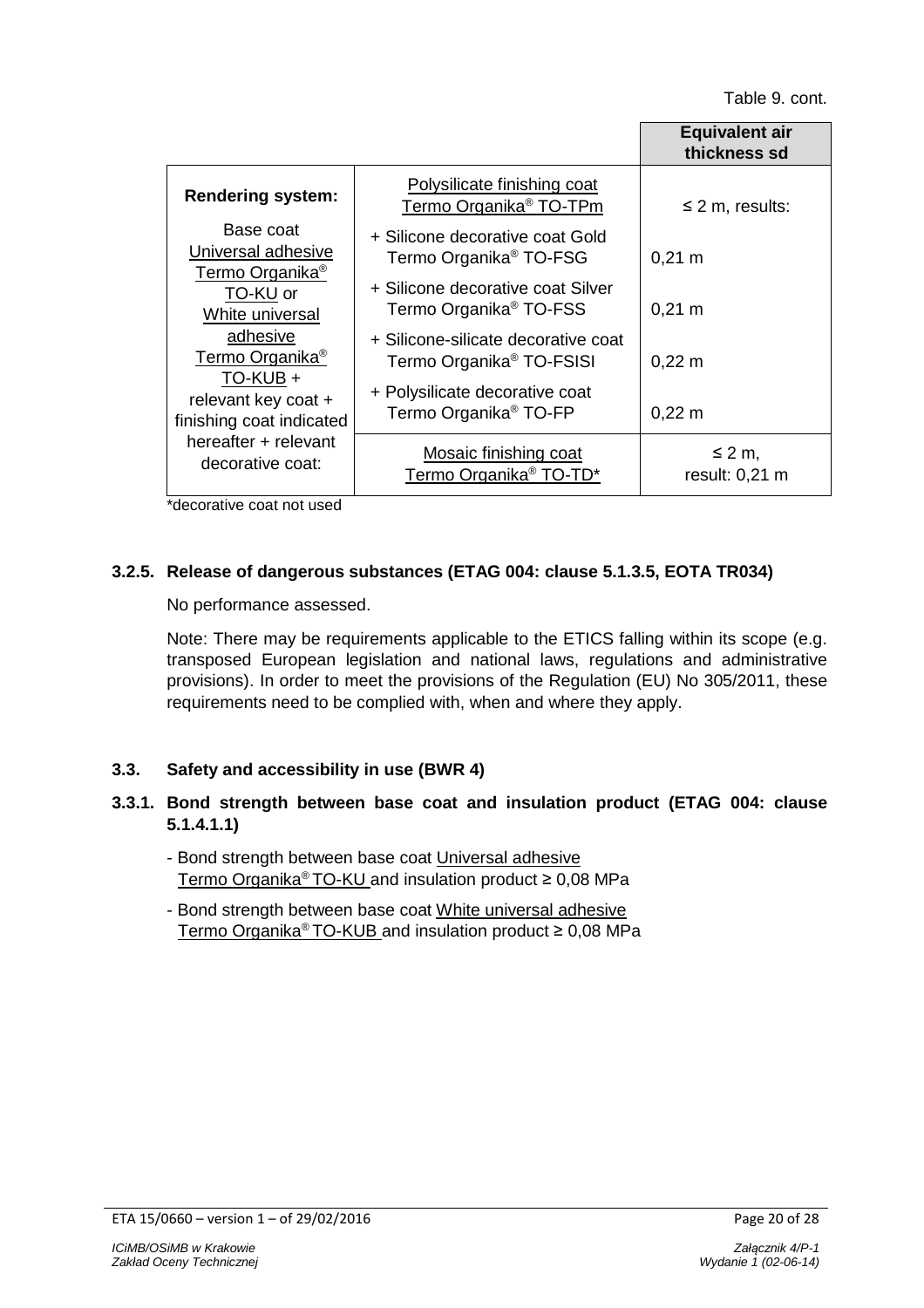|                                                                |                                                                             | <b>Equivalent air</b><br>thickness sd |
|----------------------------------------------------------------|-----------------------------------------------------------------------------|---------------------------------------|
| <b>Rendering system:</b>                                       | Polysilicate finishing coat<br>Termo Organika <sup>®</sup> TO-TPm           | $\leq$ 2 m, results:                  |
| Base coat<br>Universal adhesive<br>Termo Organika <sup>®</sup> | + Silicone decorative coat Gold<br>Termo Organika <sup>®</sup> TO-FSG       | $0,21 \; m$                           |
| TO-KU or<br>White universal                                    | + Silicone decorative coat Silver<br>Termo Organika <sup>®</sup> TO-FSS     | $0,21 \; m$                           |
| adhesive<br>Termo Organika <sup>®</sup><br>TO-KUB +            | + Silicone-silicate decorative coat<br>Termo Organika <sup>®</sup> TO-FSISI | $0,22 \, m$                           |
| relevant key coat +<br>finishing coat indicated                | + Polysilicate decorative coat<br>Termo Organika <sup>®</sup> TO-FP         | $0,22 \, m$                           |
| hereafter + relevant<br>decorative coat:                       | Mosaic finishing coat<br>Termo Organika <sup>®</sup> TO-TD*                 | $\leq 2$ m,<br>result: 0,21 m         |

\*decorative coat not used

# **3.2.5. Release of dangerous substances (ETAG 004: clause 5.1.3.5, EOTA TR034)**

No performance assessed.

Note: There may be requirements applicable to the ETICS falling within its scope (e.g. transposed European legislation and national laws, regulations and administrative provisions). In order to meet the provisions of the Regulation (EU) No 305/2011, these requirements need to be complied with, when and where they apply.

# **3.3. Safety and accessibility in use (BWR 4)**

# **3.3.1. Bond strength between base coat and insulation product (ETAG 004: clause 5.1.4.1.1)**

- Bond strength between base coat Universal adhesive Termo Organika® TO-KU and insulation product ≥ 0,08 MPa
- Bond strength between base coat White universal adhesive Termo Organika® TO-KUB and insulation product ≥ 0,08 MPa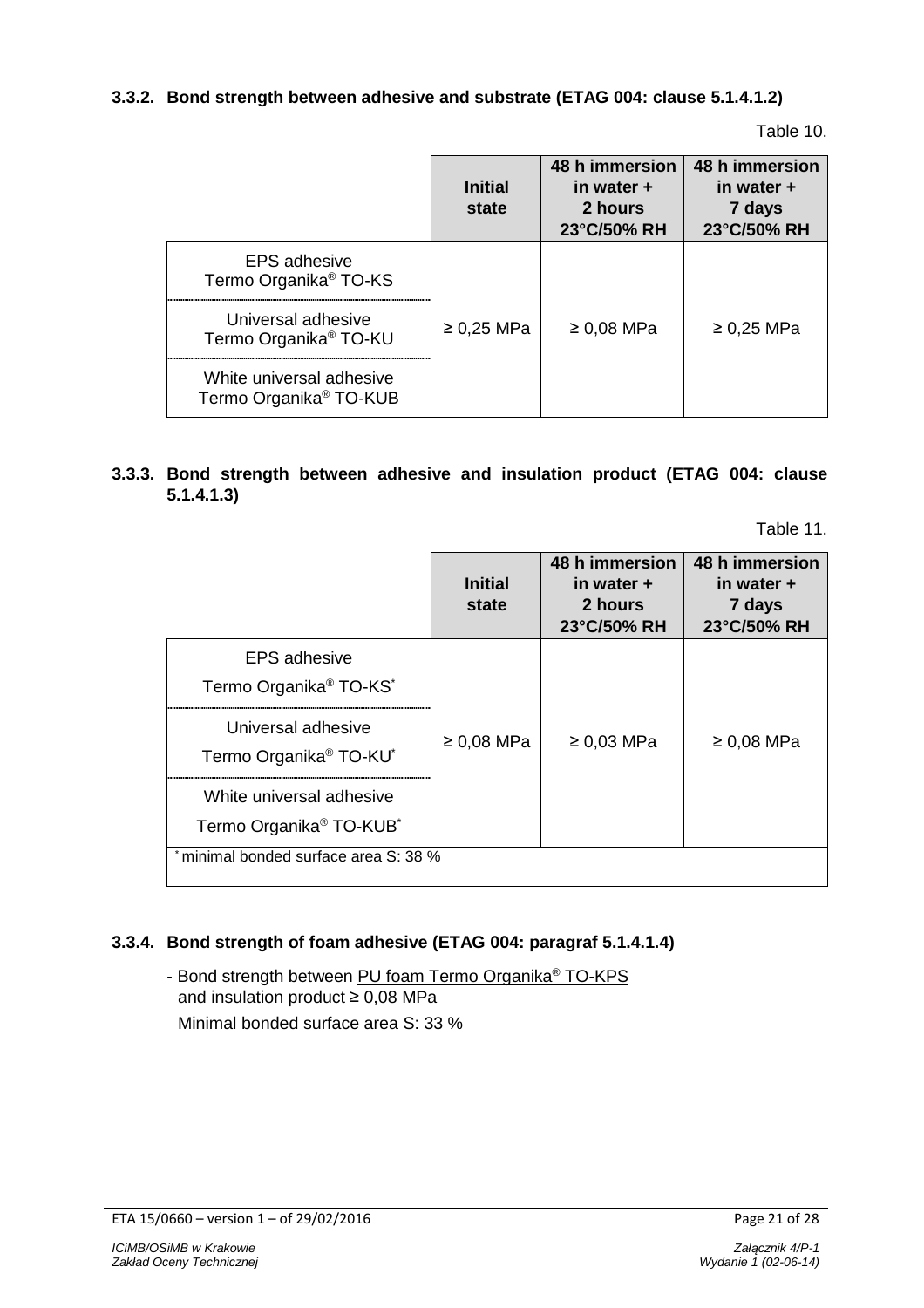# **3.3.2. Bond strength between adhesive and substrate (ETAG 004: clause 5.1.4.1.2)**

Table 10.

|                                                                | <b>Initial</b><br>state | 48 h immersion<br>in water +<br>2 hours<br>23°C/50% RH | 48 h immersion<br>in water +<br>7 days<br>23°C/50% RH |
|----------------------------------------------------------------|-------------------------|--------------------------------------------------------|-------------------------------------------------------|
| <b>EPS</b> adhesive<br>Termo Organika <sup>®</sup> TO-KS       |                         |                                                        |                                                       |
| Universal adhesive<br>Termo Organika <sup>®</sup> TO-KU        | $\geq$ 0.25 MPa         | $\geq 0.08$ MPa                                        | $\geq$ 0,25 MPa                                       |
| White universal adhesive<br>Termo Organika <sup>®</sup> TO-KUB |                         |                                                        |                                                       |

# **3.3.3. Bond strength between adhesive and insulation product (ETAG 004: clause 5.1.4.1.3)**

Table 11.

|                                                                             | <b>Initial</b><br>state | 48 h immersion<br>in water +<br>2 hours<br>23°C/50% RH | 48 h immersion<br>in water +<br>7 days<br>23°C/50% RH |
|-----------------------------------------------------------------------------|-------------------------|--------------------------------------------------------|-------------------------------------------------------|
| <b>EPS</b> adhesive<br>Termo Organika <sup>®</sup> TO-KS <sup>*</sup>       |                         |                                                        |                                                       |
| Universal adhesive<br>Termo Organika <sup>®</sup> TO-KU <sup>*</sup>        | $\geq 0.08$ MPa         | $\geq 0.03$ MPa                                        | $\geq 0.08$ MPa                                       |
| White universal adhesive<br>Termo Organika <sup>®</sup> TO-KUB <sup>*</sup> |                         |                                                        |                                                       |
| minimal bonded surface area S: 38 %                                         |                         |                                                        |                                                       |

# **3.3.4. Bond strength of foam adhesive (ETAG 004: paragraf 5.1.4.1.4)**

- Bond strength between PU foam Termo Organika® TO-KPS and insulation product ≥ 0,08 MPa Minimal bonded surface area S: 33 %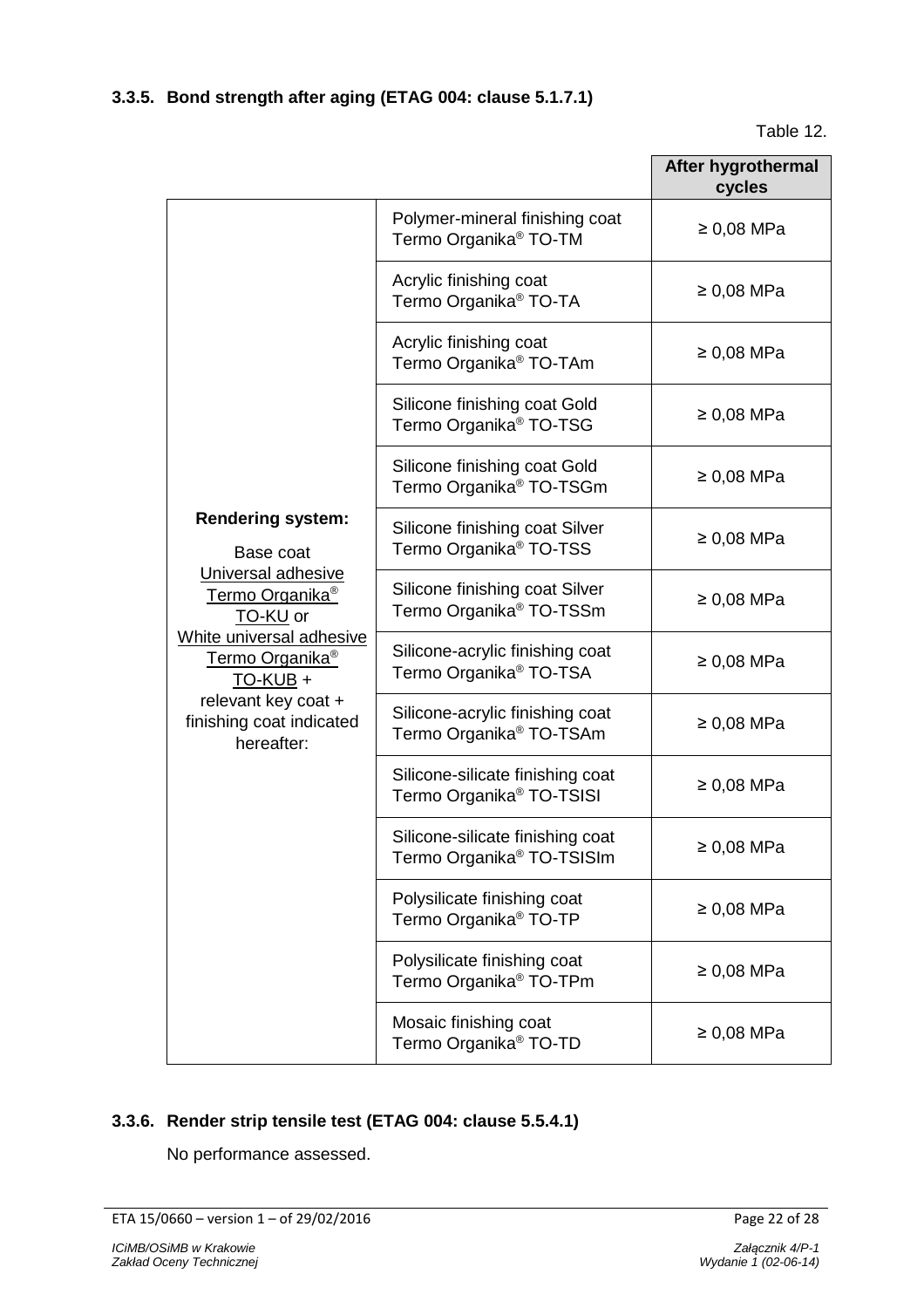Table 12.

|                                                                                                                                                                                                                                                       |                                                                           | After hygrothermal<br>cycles |
|-------------------------------------------------------------------------------------------------------------------------------------------------------------------------------------------------------------------------------------------------------|---------------------------------------------------------------------------|------------------------------|
|                                                                                                                                                                                                                                                       | Polymer-mineral finishing coat<br>Termo Organika <sup>®</sup> TO-TM       | $\geq 0.08$ MPa              |
|                                                                                                                                                                                                                                                       | Acrylic finishing coat<br>Termo Organika <sup>®</sup> TO-TA               | $\geq 0.08$ MPa              |
|                                                                                                                                                                                                                                                       | Acrylic finishing coat<br>Termo Organika <sup>®</sup> TO-TAm              | $\geq 0.08$ MPa              |
|                                                                                                                                                                                                                                                       | Silicone finishing coat Gold<br>Termo Organika <sup>®</sup> TO-TSG        | $\geq 0.08$ MPa              |
|                                                                                                                                                                                                                                                       | Silicone finishing coat Gold<br>Termo Organika <sup>®</sup> TO-TSGm       | $\geq 0.08$ MPa              |
| <b>Rendering system:</b><br>Base coat<br>Universal adhesive<br>Termo Organika <sup>®</sup><br>TO-KU or<br>White universal adhesive<br>Termo Organika <sup>®</sup><br><b>TO-KUB +</b><br>relevant key coat +<br>finishing coat indicated<br>hereafter: | Silicone finishing coat Silver<br>Termo Organika <sup>®</sup> TO-TSS      | $\geq 0.08$ MPa              |
|                                                                                                                                                                                                                                                       | Silicone finishing coat Silver<br>Termo Organika <sup>®</sup> TO-TSSm     | $\geq 0.08$ MPa              |
|                                                                                                                                                                                                                                                       | Silicone-acrylic finishing coat<br>Termo Organika <sup>®</sup> TO-TSA     | $\geq 0.08$ MPa              |
|                                                                                                                                                                                                                                                       | Silicone-acrylic finishing coat<br>Termo Organika <sup>®</sup> TO-TSAm    | $\geq 0.08$ MPa              |
|                                                                                                                                                                                                                                                       | Silicone-silicate finishing coat<br>Termo Organika <sup>®</sup> TO-TSISI  | $\geq 0.08$ MPa              |
|                                                                                                                                                                                                                                                       | Silicone-silicate finishing coat<br>Termo Organika <sup>®</sup> TO-TSISIm | $\geq 0.08$ MPa              |
|                                                                                                                                                                                                                                                       | Polysilicate finishing coat<br>Termo Organika <sup>®</sup> TO-TP          | $\geq 0.08$ MPa              |
|                                                                                                                                                                                                                                                       | Polysilicate finishing coat<br>Termo Organika <sup>®</sup> TO-TPm         | $\geq 0.08$ MPa              |
|                                                                                                                                                                                                                                                       | Mosaic finishing coat<br>Termo Organika <sup>®</sup> TO-TD                | $\geq 0.08$ MPa              |

# **3.3.6. Render strip tensile test (ETAG 004: clause 5.5.4.1)**

No performance assessed.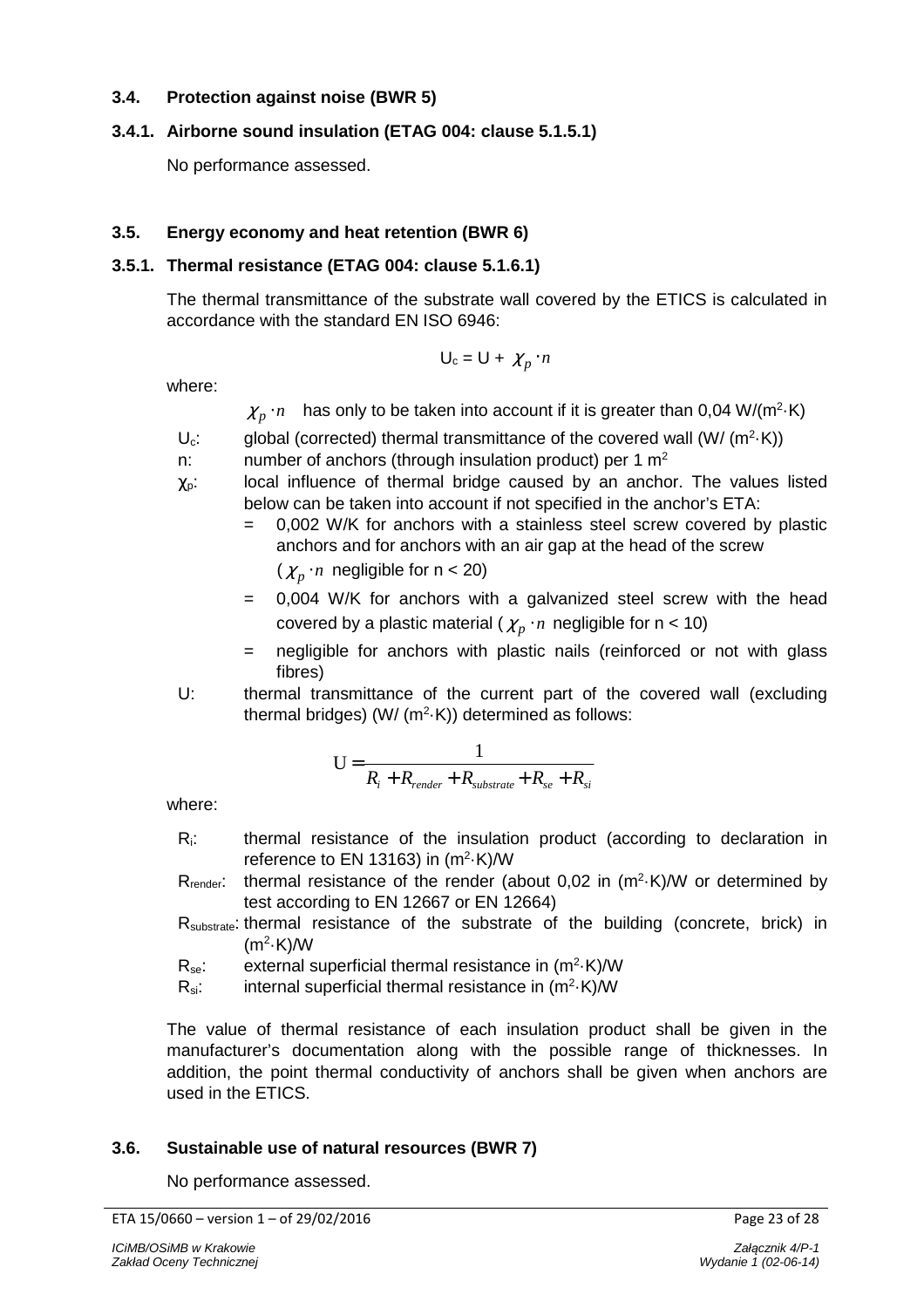# **3.4. Protection against noise (BWR 5)**

# **3.4.1. Airborne sound insulation (ETAG 004: clause 5.1.5.1)**

No performance assessed.

# **3.5. Energy economy and heat retention (BWR 6)**

# **3.5.1. Thermal resistance (ETAG 004: clause 5.1.6.1)**

The thermal transmittance of the substrate wall covered by the ETICS is calculated in accordance with the standard EN ISO 6946:

$$
U_c = U + \chi_p \cdot n
$$

where:

 $\chi_{p}$  · *n* has only to be taken into account if it is greater than 0,04 W/(m<sup>2</sup> $\cdot$ K)

- $U_c$ : global (corrected) thermal transmittance of the covered wall (W/ (m<sup>2</sup> $\cdot$ K))
- n: number of anchors (through insulation product) per 1  $m<sup>2</sup>$
- $\chi_{p}$ : local influence of thermal bridge caused by an anchor. The values listed below can be taken into account if not specified in the anchor's ETA:
	- = 0,002 W/K for anchors with a stainless steel screw covered by plastic anchors and for anchors with an air gap at the head of the screw  $(\chi_n \cdot n \text{ negligible for } n < 20)$
	- = 0,004 W/K for anchors with a galvanized steel screw with the head covered by a plastic material ( $\chi_p \cdot n$  negligible for n < 10)
	- = negligible for anchors with plastic nails (reinforced or not with glass fibres)
- U: thermal transmittance of the current part of the covered wall (excluding thermal bridges) (W/  $(m^2 K)$ ) determined as follows:

$$
U = \frac{1}{R_i + R_{render} + R_{substrate} + R_{se} + R_{si}}
$$

where:

- Ri: thermal resistance of the insulation product (according to declaration in reference to EN 13163) in  $(m^2 \cdot K)/W$
- $R_{\text{render}}$ : thermal resistance of the render (about 0,02 in  $(m^2 \cdot K)/W$  or determined by test according to EN 12667 or EN 12664)
- Rsubstrate: thermal resistance of the substrate of the building (concrete, brick) in  $(m<sup>2</sup>·K)$ /W
- $R_{se}$ : external superficial thermal resistance in  $(m^2 \cdot K)/W$
- $R_{si}:$  internal superficial thermal resistance in  $(m<sup>2</sup>·K)$ /W

The value of thermal resistance of each insulation product shall be given in the manufacturer's documentation along with the possible range of thicknesses. In addition, the point thermal conductivity of anchors shall be given when anchors are used in the ETICS.

# **3.6. Sustainable use of natural resources (BWR 7)**

No performance assessed.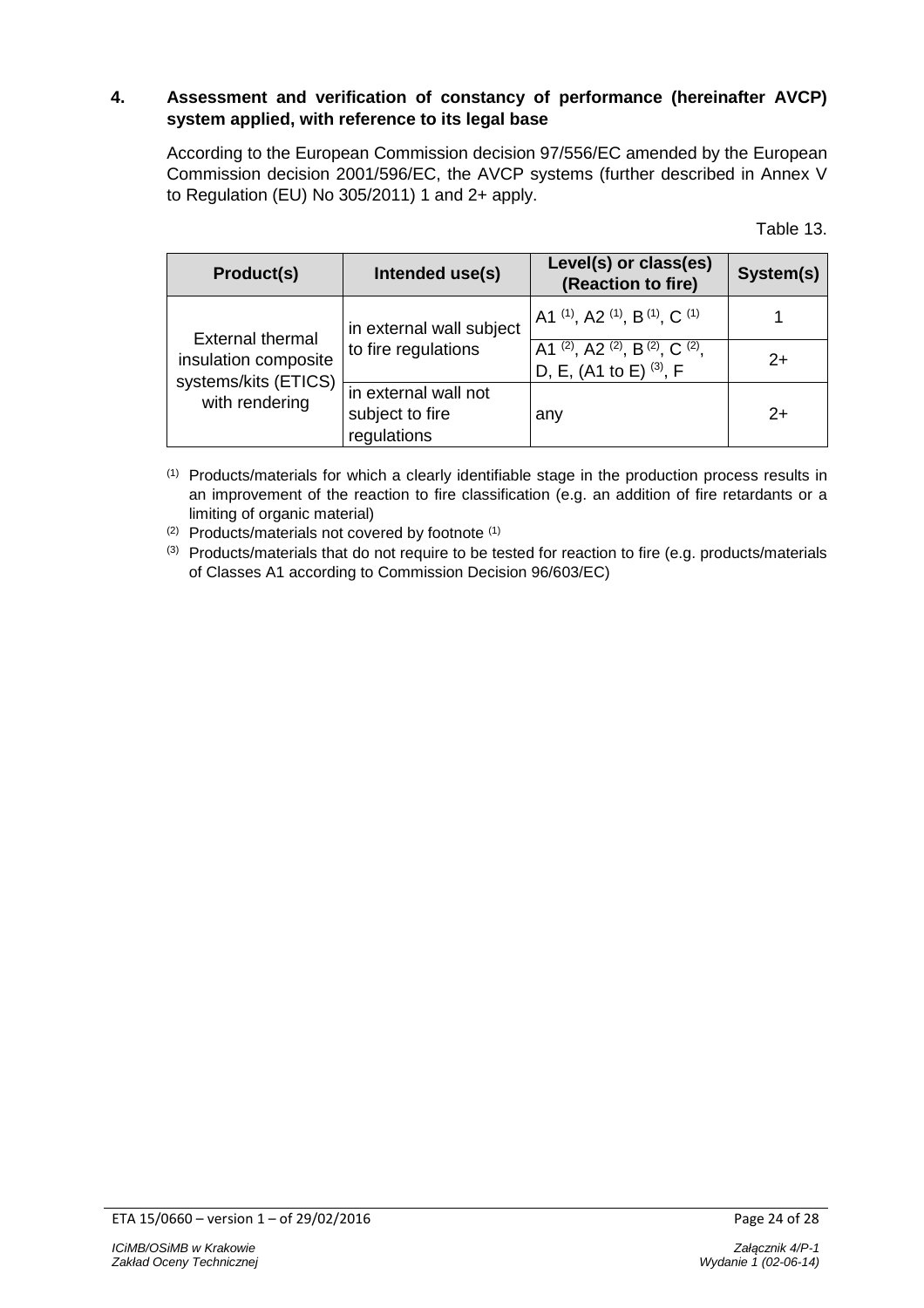# **4. Assessment and verification of constancy of performance (hereinafter AVCP) system applied, with reference to its legal base**

According to the European Commission decision 97/556/EC amended by the European Commission decision 2001/596/EC, the AVCP systems (further described in Annex V to Regulation (EU) No 305/2011) 1 and 2+ apply.

Table 13.

| Product(s)                                                                                | Intended use(s)                                        | Level(s) or class(es)<br>(Reaction to fire)                         | System(s) |
|-------------------------------------------------------------------------------------------|--------------------------------------------------------|---------------------------------------------------------------------|-----------|
| <b>External thermal</b><br>insulation composite<br>systems/kits (ETICS)<br>with rendering | in external wall subject<br>to fire regulations        | A1 $(1)$ , A2 $(1)$ , B $(1)$ , C $(1)$                             |           |
|                                                                                           |                                                        | A1 (2), A2 (2), B (2), C (2),<br>D, E, (A1 to E) <sup>(3)</sup> , F | $2+$      |
|                                                                                           | in external wall not<br>subject to fire<br>regulations | any                                                                 | $2+$      |

(1) Products/materials for which a clearly identifiable stage in the production process results in an improvement of the reaction to fire classification (e.g. an addition of fire retardants or a limiting of organic material)

(2) Products/materials not covered by footnote (1)

(3) Products/materials that do not require to be tested for reaction to fire (e.g. products/materials of Classes A1 according to Commission Decision 96/603/EC)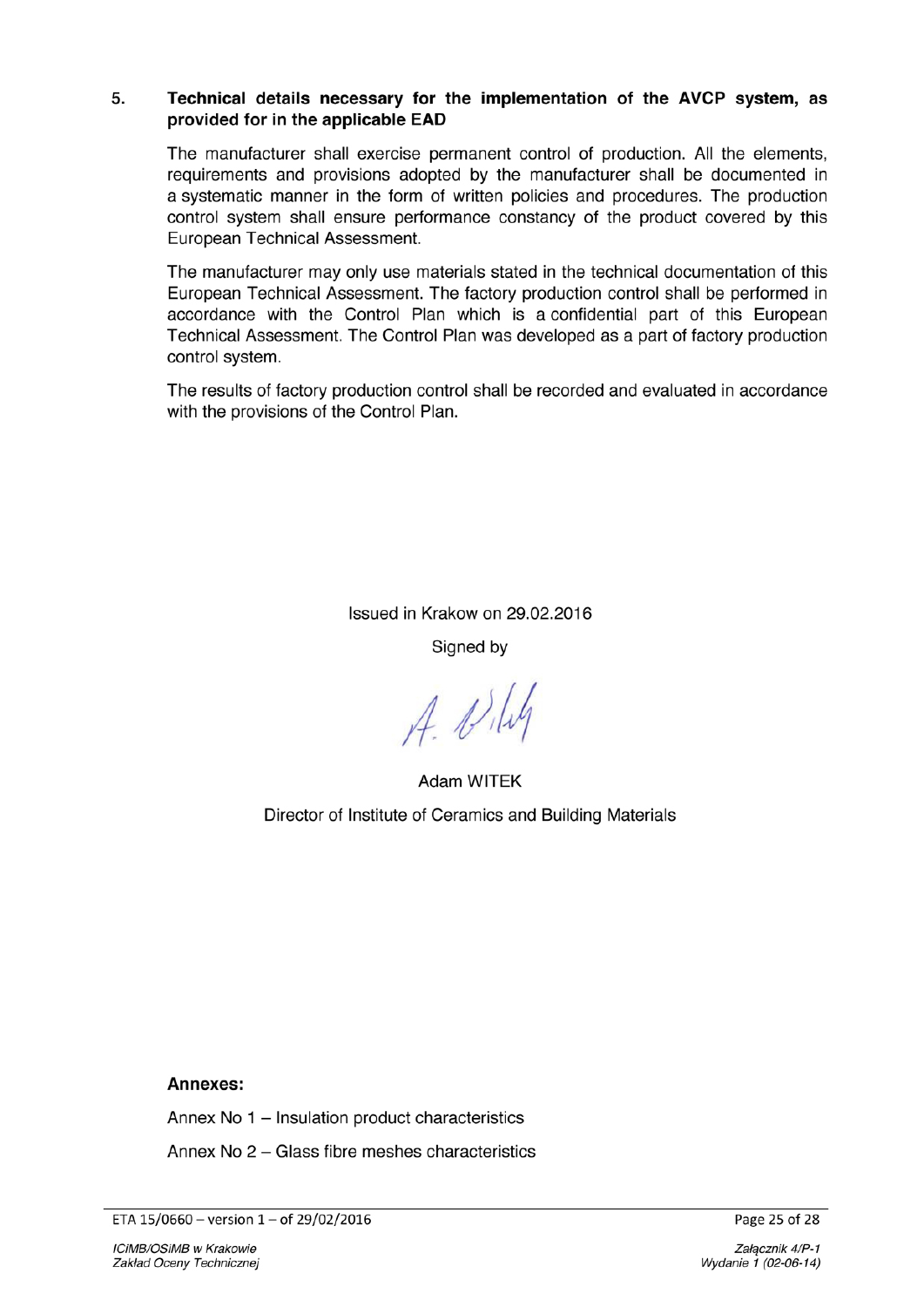#### Technical details necessary for the implementation of the AVCP system, as 5. provided for in the applicable EAD

The manufacturer shall exercise permanent control of production. All the elements, requirements and provisions adopted by the manufacturer shall be documented in a systematic manner in the form of written policies and procedures. The production control system shall ensure performance constancy of the product covered by this European Technical Assessment.

The manufacturer may only use materials stated in the technical documentation of this European Technical Assessment. The factory production control shall be performed in accordance with the Control Plan which is a confidential part of this European Technical Assessment. The Control Plan was developed as a part of factory production control system.

The results of factory production control shall be recorded and evaluated in accordance with the provisions of the Control Plan.

Issued in Krakow on 29.02.2016

Signed by

 $A.$   $B.$ 

**Adam WITEK** Director of Institute of Ceramics and Building Materials

#### Annexes:

Annex No 1 - Insulation product characteristics

Annex No 2 - Glass fibre meshes characteristics

ETA 15/0660 - version 1 - of 29/02/2016

Page 25 of 28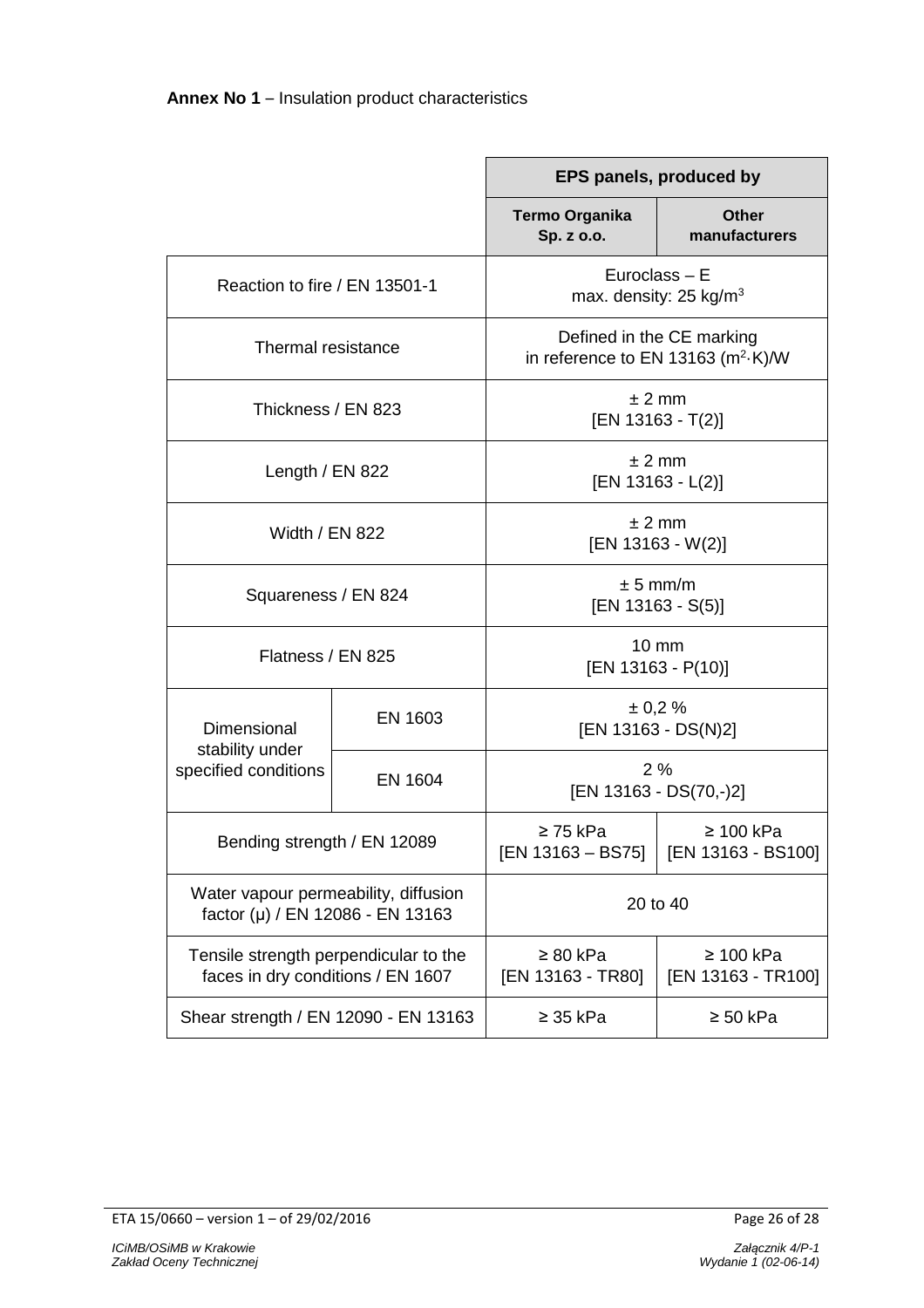|                                                                            |                | EPS panels, produced by                                                 |                                      |  |
|----------------------------------------------------------------------------|----------------|-------------------------------------------------------------------------|--------------------------------------|--|
|                                                                            |                | Termo Organika<br>Sp. z o.o.                                            | Other<br>manufacturers               |  |
| Reaction to fire / EN 13501-1                                              |                | Euroclass $- E$<br>max. density: $25 \text{ kg/m}^3$                    |                                      |  |
| Thermal resistance                                                         |                | Defined in the CE marking<br>in reference to EN 13163 $(m^2 \cdot K)/W$ |                                      |  |
| Thickness / EN 823                                                         |                | ± 2 mm<br>$[EN 13163 - T(2)]$                                           |                                      |  |
| Length / EN 822                                                            |                | $± 2$ mm<br>$[EN 13163 - L(2)]$                                         |                                      |  |
| <b>Width / EN 822</b>                                                      |                | ± 2 mm<br>$[EN 13163 - W(2)]$                                           |                                      |  |
| Squareness / EN 824                                                        |                | $± 5$ mm/m<br>[EN 13163 - S(5)]                                         |                                      |  |
| Flatness / EN 825                                                          |                | 10 mm<br>$[EN 13163 - P(10)]$                                           |                                      |  |
| Dimensional<br>stability under<br>specified conditions                     | EN 1603        | $\pm 0.2 \%$<br>[EN 13163 - DS(N)2]                                     |                                      |  |
|                                                                            | <b>EN 1604</b> | 2%<br>[EN 13163 - DS(70,-)2]                                            |                                      |  |
| Bending strength / EN 12089                                                |                | $\geq$ 75 kPa<br>[EN 13163 - BS75]                                      | $\geq 100$ kPa<br>[EN 13163 - BS100] |  |
| Water vapour permeability, diffusion<br>factor (µ) / EN 12086 - EN 13163   |                | 20 to 40                                                                |                                      |  |
| Tensile strength perpendicular to the<br>faces in dry conditions / EN 1607 |                | $\geq 80$ kPa<br>[EN 13163 - TR80]                                      | $\geq 100$ kPa<br>[EN 13163 - TR100] |  |
| Shear strength / EN 12090 - EN 13163                                       |                | $\geq$ 35 kPa                                                           | $\geq 50$ kPa                        |  |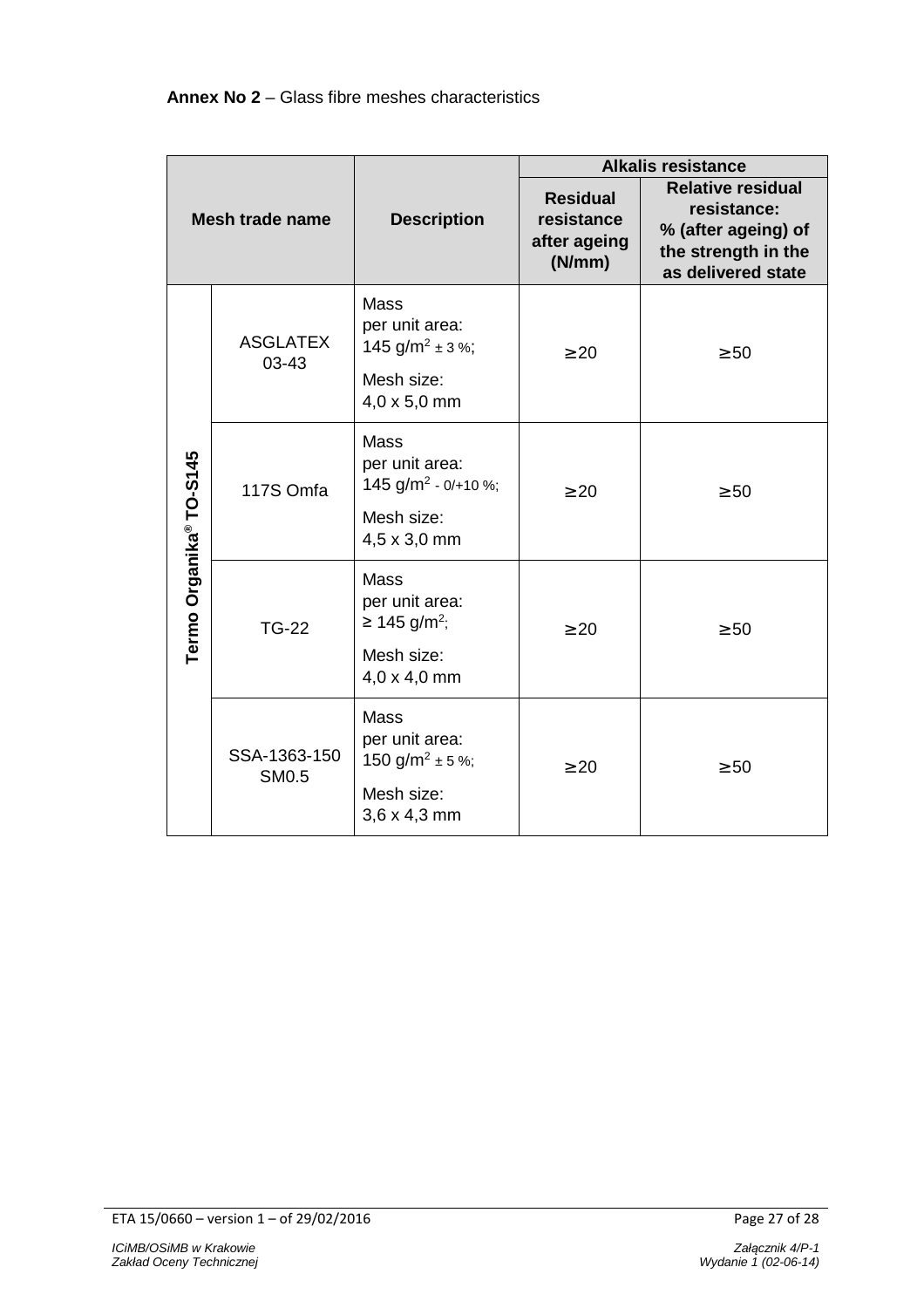| <b>Mesh trade name</b>  |                              | <b>Description</b>                                                                                     | <b>Alkalis resistance</b>                               |                                                                                                             |
|-------------------------|------------------------------|--------------------------------------------------------------------------------------------------------|---------------------------------------------------------|-------------------------------------------------------------------------------------------------------------|
|                         |                              |                                                                                                        | <b>Residual</b><br>resistance<br>after ageing<br>(N/mm) | <b>Relative residual</b><br>resistance:<br>% (after ageing) of<br>the strength in the<br>as delivered state |
| Termo Organika® TO-S145 | <b>ASGLATEX</b><br>$03 - 43$ | Mass<br>per unit area:<br>145 g/m <sup>2</sup> ± 3 %;<br>Mesh size:<br>4,0 x 5,0 mm                    | $\geq 20$                                               | $\geq 50$                                                                                                   |
|                         | 117S Omfa                    | <b>Mass</b><br>per unit area:<br>145 $g/m^2$ - 0/+10 %;<br>Mesh size:<br>4,5 x 3,0 mm                  | $\geq 20$                                               | $\geq 50$                                                                                                   |
|                         | <b>TG-22</b>                 | Mass<br>per unit area:<br>≥ 145 g/m <sup>2</sup> ;<br>Mesh size:<br>4,0 x 4,0 mm                       | $\geq 20$                                               | $\geq 50$                                                                                                   |
|                         | SSA-1363-150<br><b>SM0.5</b> | Mass<br>per unit area:<br>150 g/m <sup>2</sup> $\pm$ 5 %;<br>Mesh size:<br>$3,6 \times 4,3 \text{ mm}$ | $\geq 20$                                               | $\geq 50$                                                                                                   |